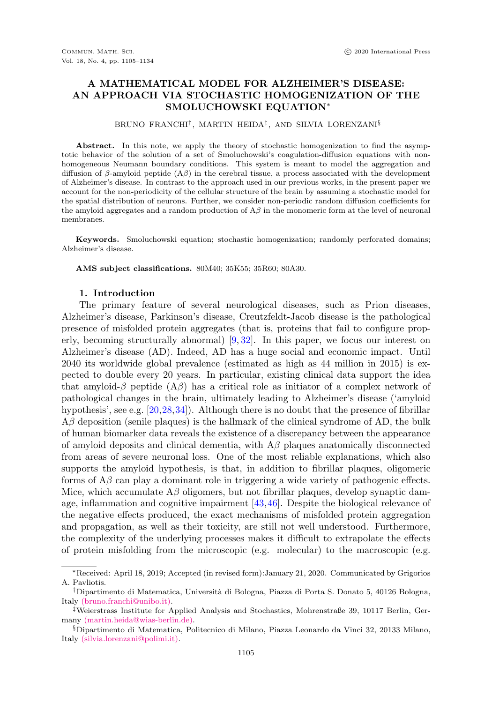# A MATHEMATICAL MODEL FOR ALZHEIMER'S DISEASE: AN APPROACH VIA STOCHASTIC HOMOGENIZATION OF THE SMOLUCHOWSKI EQUATION<sup>∗</sup>

#### BRUNO FRANCHI† , MARTIN HEIDA‡ , AND SILVIA LORENZANI§

Abstract. In this note, we apply the theory of stochastic homogenization to find the asymptotic behavior of the solution of a set of Smoluchowski's coagulation-diffusion equations with nonhomogeneous Neumann boundary conditions. This system is meant to model the aggregation and diffusion of  $\beta$ -amyloid peptide  $(A\beta)$  in the cerebral tissue, a process associated with the development of Alzheimer's disease. In contrast to the approach used in our previous works, in the present paper we account for the non-periodicity of the cellular structure of the brain by assuming a stochastic model for the spatial distribution of neurons. Further, we consider non-periodic random diffusion coefficients for the amyloid aggregates and a random production of  $A\beta$  in the monomeric form at the level of neuronal membranes.

Keywords. Smoluchowski equation; stochastic homogenization; randomly perforated domains; Alzheimer's disease.

AMS subject classifications. 80M40; 35K55; 35R60; 80A30.

#### 1. Introduction

<span id="page-0-0"></span>The primary feature of several neurological diseases, such as Prion diseases, Alzheimer's disease, Parkinson's disease, Creutzfeldt-Jacob disease is the pathological presence of misfolded protein aggregates (that is, proteins that fail to configure properly, becoming structurally abnormal) [\[9,](#page-27-0) [32\]](#page-28-0). In this paper, we focus our interest on Alzheimer's disease (AD). Indeed, AD has a huge social and economic impact. Until 2040 its worldwide global prevalence (estimated as high as 44 million in 2015) is expected to double every 20 years. In particular, existing clinical data support the idea that amyloid- $\beta$  peptide  $(A\beta)$  has a critical role as initiator of a complex network of pathological changes in the brain, ultimately leading to Alzheimer's disease ('amyloid hypothesis', see e.g. [\[20,](#page-28-1)[28,](#page-28-2)[34\]](#page-28-3)). Although there is no doubt that the presence of fibrillar  $A\beta$  deposition (senile plaques) is the hallmark of the clinical syndrome of AD, the bulk of human biomarker data reveals the existence of a discrepancy between the appearance of amyloid deposits and clinical dementia, with  $A\beta$  plaques anatomically disconnected from areas of severe neuronal loss. One of the most reliable explanations, which also supports the amyloid hypothesis, is that, in addition to fibrillar plaques, oligomeric forms of  $A\beta$  can play a dominant role in triggering a wide variety of pathogenic effects. Mice, which accumulate  $A\beta$  oligomers, but not fibrillar plaques, develop synaptic damage, inflammation and cognitive impairment [\[43,](#page-29-0)[46\]](#page-29-1). Despite the biological relevance of the negative effects produced, the exact mechanisms of misfolded protein aggregation and propagation, as well as their toxicity, are still not well understood. Furthermore, the complexity of the underlying processes makes it difficult to extrapolate the effects of protein misfolding from the microscopic (e.g. molecular) to the macroscopic (e.g.

<sup>∗</sup>Received: April 18, 2019; Accepted (in revised form):January 21, 2020. Communicated by Grigorios A. Pavliotis.

 $^\dagger$ Dipartimento di Matematica, Università di Bologna, Piazza di Porta S. Donato 5, 40126 Bologna, Italy [\(bruno.franchi@unibo.it\).](mailto:bruno.franchi@unibo.it)

<sup>‡</sup>Weierstrass Institute for Applied Analysis and Stochastics, Mohrenstraße 39, 10117 Berlin, Germany [\(martin.heida@wias-berlin.de\).](mailto:martin.heida@wias-berlin.de)

<sup>§</sup>Dipartimento di Matematica, Politecnico di Milano, Piazza Leonardo da Vinci 32, 20133 Milano, Italy [\(silvia.lorenzani@polimi.it\).](mailto:silvia.lorenzani@polimi.it)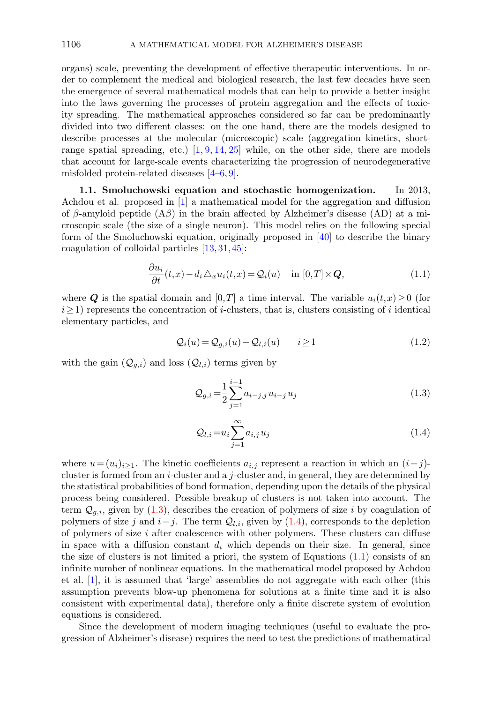organs) scale, preventing the development of effective therapeutic interventions. In order to complement the medical and biological research, the last few decades have seen the emergence of several mathematical models that can help to provide a better insight into the laws governing the processes of protein aggregation and the effects of toxicity spreading. The mathematical approaches considered so far can be predominantly divided into two different classes: on the one hand, there are the models designed to describe processes at the molecular (microscopic) scale (aggregation kinetics, shortrange spatial spreading, etc.)  $[1, 9, 14, 25]$  $[1, 9, 14, 25]$  $[1, 9, 14, 25]$  $[1, 9, 14, 25]$  $[1, 9, 14, 25]$  $[1, 9, 14, 25]$  while, on the other side, there are models that account for large-scale events characterizing the progression of neurodegenerative misfolded protein-related diseases [\[4](#page-27-2)[–6,](#page-27-3) [9\]](#page-27-0).

<span id="page-1-3"></span>1.1. Smoluchowski equation and stochastic homogenization. In 2013, Achdou et al. proposed in [\[1\]](#page-27-1) a mathematical model for the aggregation and diffusion of β-amyloid peptide  $(A\beta)$  in the brain affected by Alzheimer's disease  $(AD)$  at a microscopic scale (the size of a single neuron). This model relies on the following special form of the Smoluchowski equation, originally proposed in [\[40\]](#page-28-6) to describe the binary coagulation of colloidal particles [\[13,](#page-27-4) [31,](#page-28-7) [45\]](#page-29-2):

<span id="page-1-2"></span>
$$
\frac{\partial u_i}{\partial t}(t,x) - d_i \triangle_x u_i(t,x) = Q_i(u) \quad \text{in } [0,T] \times Q,
$$
\n(1.1)

where Q is the spatial domain and [0,T] a time interval. The variable  $u_i(t,x) \geq 0$  (for  $i\geq 1$ ) represents the concentration of *i*-clusters, that is, clusters consisting of *i* identical elementary particles, and

$$
\mathcal{Q}_i(u) = \mathcal{Q}_{g,i}(u) - \mathcal{Q}_{l,i}(u) \qquad i \ge 1 \tag{1.2}
$$

with the gain  $(Q_{g,i})$  and loss  $(Q_{l,i})$  terms given by

<span id="page-1-0"></span>
$$
Q_{g,i} = \frac{1}{2} \sum_{j=1}^{i-1} a_{i-j,j} u_{i-j} u_j
$$
\n(1.3)

<span id="page-1-1"></span>
$$
\mathcal{Q}_{l,i} = u_i \sum_{j=1}^{\infty} a_{i,j} u_j \tag{1.4}
$$

where  $u=(u_i)_{i\geq 1}$ . The kinetic coefficients  $a_{i,j}$  represent a reaction in which an  $(i+j)$ cluster is formed from an i-cluster and a j-cluster and, in general, they are determined by the statistical probabilities of bond formation, depending upon the details of the physical process being considered. Possible breakup of clusters is not taken into account. The term  $\mathcal{Q}_{g,i}$ , given by [\(1.3\)](#page-1-0), describes the creation of polymers of size i by coagulation of polymers of size j and  $i-j$ . The term  $\mathcal{Q}_{l,i}$ , given by [\(1.4\)](#page-1-1), corresponds to the depletion of polymers of size  $i$  after coalescence with other polymers. These clusters can diffuse in space with a diffusion constant  $d_i$  which depends on their size. In general, since the size of clusters is not limited a priori, the system of Equations [\(1.1\)](#page-1-2) consists of an infinite number of nonlinear equations. In the mathematical model proposed by Achdou et al. [\[1\]](#page-27-1), it is assumed that 'large' assemblies do not aggregate with each other (this assumption prevents blow-up phenomena for solutions at a finite time and it is also consistent with experimental data), therefore only a finite discrete system of evolution equations is considered.

Since the development of modern imaging techniques (useful to evaluate the progression of Alzheimer's disease) requires the need to test the predictions of mathematical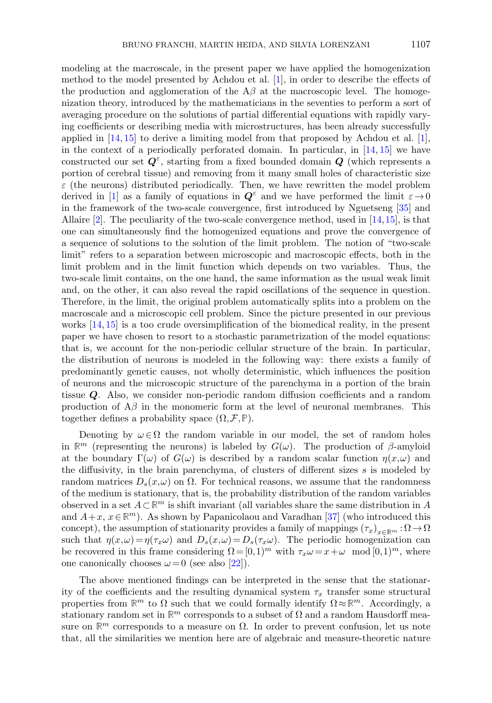modeling at the macroscale, in the present paper we have applied the homogenization method to the model presented by Achdou et al. [\[1\]](#page-27-1), in order to describe the effects of the production and agglomeration of the  $A\beta$  at the macroscopic level. The homogenization theory, introduced by the mathematicians in the seventies to perform a sort of averaging procedure on the solutions of partial differential equations with rapidly varying coefficients or describing media with microstructures, has been already successfully applied in  $[14, 15]$  $[14, 15]$  to derive a limiting model from that proposed by Achdou et al.  $[1]$ , in the context of a periodically perforated domain. In particular, in [\[14,](#page-28-4) [15\]](#page-28-8) we have constructed our set  $Q^{\varepsilon}$ , starting from a fixed bounded domain  $Q$  (which represents a portion of cerebral tissue) and removing from it many small holes of characteristic size  $\varepsilon$  (the neurons) distributed periodically. Then, we have rewritten the model problem derived in [\[1\]](#page-27-1) as a family of equations in  $Q^{\varepsilon}$  and we have performed the limit  $\varepsilon \to 0$ in the framework of the two-scale convergence, first introduced by Nguetseng [\[35\]](#page-28-9) and Allaire [\[2\]](#page-27-5). The peculiarity of the two-scale convergence method, used in [\[14,](#page-28-4)[15\]](#page-28-8), is that one can simultaneously find the homogenized equations and prove the convergence of a sequence of solutions to the solution of the limit problem. The notion of "two-scale limit" refers to a separation between microscopic and macroscopic effects, both in the limit problem and in the limit function which depends on two variables. Thus, the two-scale limit contains, on the one hand, the same information as the usual weak limit and, on the other, it can also reveal the rapid oscillations of the sequence in question. Therefore, in the limit, the original problem automatically splits into a problem on the macroscale and a microscopic cell problem. Since the picture presented in our previous works [\[14,](#page-28-4) [15\]](#page-28-8) is a too crude oversimplification of the biomedical reality, in the present paper we have chosen to resort to a stochastic parametrization of the model equations: that is, we account for the non-periodic cellular structure of the brain. In particular, the distribution of neurons is modeled in the following way: there exists a family of predominantly genetic causes, not wholly deterministic, which influences the position of neurons and the microscopic structure of the parenchyma in a portion of the brain tissue Q. Also, we consider non-periodic random diffusion coefficients and a random production of  $A\beta$  in the monomeric form at the level of neuronal membranes. This together defines a probability space  $(\Omega, \mathcal{F}, \mathbb{P})$ .

Denoting by  $\omega \in \Omega$  the random variable in our model, the set of random holes in  $\mathbb{R}^m$  (representing the neurons) is labeled by  $G(\omega)$ . The production of  $\beta$ -amyloid at the boundary  $\Gamma(\omega)$  of  $G(\omega)$  is described by a random scalar function  $\eta(x,\omega)$  and the diffusivity, in the brain parenchyma, of clusters of different sizes s is modeled by random matrices  $D_s(x,\omega)$  on  $\Omega$ . For technical reasons, we assume that the randomness of the medium is stationary, that is, the probability distribution of the random variables observed in a set  $A \subset \mathbb{R}^m$  is shift invariant (all variables share the same distribution in A and  $A+x, x \in \mathbb{R}^m$ ). As shown by Papanicolaou and Varadhan [\[37\]](#page-28-10) (who introduced this concept), the assumption of stationarity provides a family of mappings  $(\tau_x)_{x\in\mathbb{R}^m}$  :  $\Omega \to \Omega$ such that  $\eta(x,\omega) = \eta(\tau_x\omega)$  and  $D_s(x,\omega) = D_s(\tau_x\omega)$ . The periodic homogenization can be recovered in this frame considering  $\Omega = [0,1)^m$  with  $\tau_x \omega = x + \omega \mod [0,1)^m$ , where one canonically chooses  $\omega = 0$  (see also [\[22\]](#page-28-11)).

The above mentioned findings can be interpreted in the sense that the stationarity of the coefficients and the resulting dynamical system  $\tau_x$  transfer some structural properties from  $\mathbb{R}^m$  to  $\Omega$  such that we could formally identify  $\Omega \approx \mathbb{R}^m$ . Accordingly, a stationary random set in  $\mathbb{R}^m$  corresponds to a subset of  $\Omega$  and a random Hausdorff measure on  $\mathbb{R}^m$  corresponds to a measure on  $\Omega$ . In order to prevent confusion, let us note that, all the similarities we mention here are of algebraic and measure-theoretic nature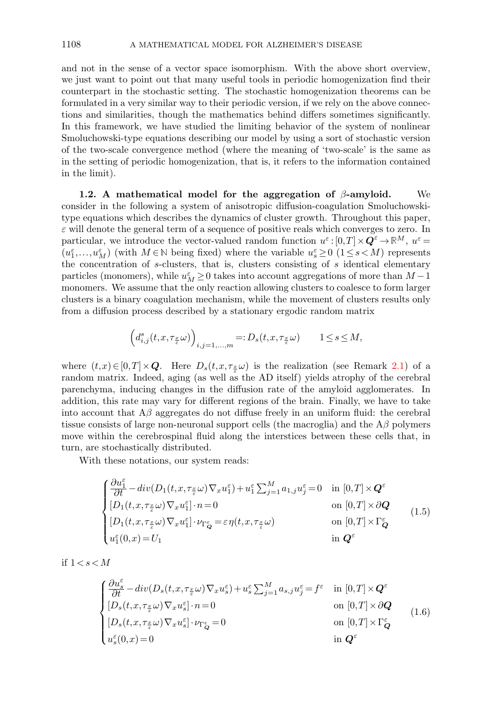and not in the sense of a vector space isomorphism. With the above short overview, we just want to point out that many useful tools in periodic homogenization find their counterpart in the stochastic setting. The stochastic homogenization theorems can be formulated in a very similar way to their periodic version, if we rely on the above connections and similarities, though the mathematics behind differs sometimes significantly. In this framework, we have studied the limiting behavior of the system of nonlinear Smoluchowski-type equations describing our model by using a sort of stochastic version of the two-scale convergence method (where the meaning of 'two-scale' is the same as in the setting of periodic homogenization, that is, it refers to the information contained in the limit).

<span id="page-3-2"></span>1.2. A mathematical model for the aggregation of  $\beta$ -amyloid. We consider in the following a system of anisotropic diffusion-coagulation Smoluchowskitype equations which describes the dynamics of cluster growth. Throughout this paper,  $\varepsilon$  will denote the general term of a sequence of positive reals which converges to zero. In particular, we introduce the vector-valued random function  $u^{\varepsilon}$ :  $[0,T] \times \mathbf{Q}^{\varepsilon} \to \mathbb{R}^{M}$ ,  $u^{\varepsilon} =$  $(u_1^{\varepsilon},...,u_M^{\varepsilon})$  (with  $M \in \mathbb{N}$  being fixed) where the variable  $u_s^{\varepsilon} \geq 0$   $(1 \leq s \leq M)$  represents the concentration of s-clusters, that is, clusters consisting of  $s$  identical elementary particles (monomers), while  $u_M^{\varepsilon} \geq 0$  takes into account aggregations of more than  $M-1$ monomers. We assume that the only reaction allowing clusters to coalesce to form larger clusters is a binary coagulation mechanism, while the movement of clusters results only from a diffusion process described by a stationary ergodic random matrix

$$
\left(d_{i,j}^s(t, x, \tau_{\frac{x}{\varepsilon}}\omega)\right)_{i,j=1,\ldots,m} =: D_s(t, x, \tau_{\frac{x}{\varepsilon}}\omega) \qquad 1 \le s \le M,
$$

where  $(t, x) \in [0, T] \times Q$ . Here  $D_s(t, x, \tau_{\frac{x}{\epsilon}} \omega)$  is the realization (see Remark [2.1\)](#page-7-0) of a random matrix. Indeed, aging (as well as the AD itself) yields atrophy of the cerebral parenchyma, inducing changes in the diffusion rate of the amyloid agglomerates. In addition, this rate may vary for different regions of the brain. Finally, we have to take into account that  $A\beta$  aggregates do not diffuse freely in an uniform fluid: the cerebral tissue consists of large non-neuronal support cells (the macroglia) and the  $A\beta$  polymers move within the cerebrospinal fluid along the interstices between these cells that, in turn, are stochastically distributed.

With these notations, our system reads:

<span id="page-3-1"></span>
$$
\begin{cases} \frac{\partial u_1^{\varepsilon}}{\partial t} - div(D_1(t, x, \tau_{\frac{x}{\varepsilon}}\omega) \nabla_x u_1^{\varepsilon}) + u_1^{\varepsilon} \sum_{j=1}^M a_{1,j} u_j^{\varepsilon} = 0 & \text{in } [0, T] \times \mathbf{Q}^{\varepsilon} \\ [D_1(t, x, \tau_{\frac{x}{\varepsilon}}\omega) \nabla_x u_1^{\varepsilon}] \cdot n = 0 & \text{on } [0, T] \times \partial \mathbf{Q} \\ [D_1(t, x, \tau_{\frac{x}{\varepsilon}}\omega) \nabla_x u_1^{\varepsilon}] \cdot \nu_{\Gamma_Q^{\varepsilon}} = \varepsilon \eta(t, x, \tau_{\frac{x}{\varepsilon}}\omega) & \text{on } [0, T] \times \Gamma_Q^{\varepsilon} \\ u_1^{\varepsilon}(0, x) = U_1 & \text{in } \mathbf{Q}^{\varepsilon} \end{cases}
$$
(1.5)

if  $1 < s < M$ 

<span id="page-3-0"></span>
$$
\begin{cases} \frac{\partial u_s^{\varepsilon}}{\partial t} - div(D_s(t, x, \tau_{\frac{x}{\varepsilon}} \omega) \nabla_x u_s^{\varepsilon}) + u_s^{\varepsilon} \sum_{j=1}^M a_{s,j} u_j^{\varepsilon} = f^{\varepsilon} & \text{in } [0, T] \times \mathbf{Q}^{\varepsilon} \\ [D_s(t, x, \tau_{\frac{x}{\varepsilon}} \omega) \nabla_x u_s^{\varepsilon}] \cdot n = 0 & \text{on } [0, T] \times \partial \mathbf{Q} \\ [D_s(t, x, \tau_{\frac{x}{\varepsilon}} \omega) \nabla_x u_s^{\varepsilon}] \cdot \nu_{\Gamma_Q^{\varepsilon}} = 0 & \text{on } [0, T] \times \Gamma_Q^{\varepsilon} \\ u_s^{\varepsilon}(0, x) = 0 & \text{in } \mathbf{Q}^{\varepsilon} \end{cases}
$$
(1.6)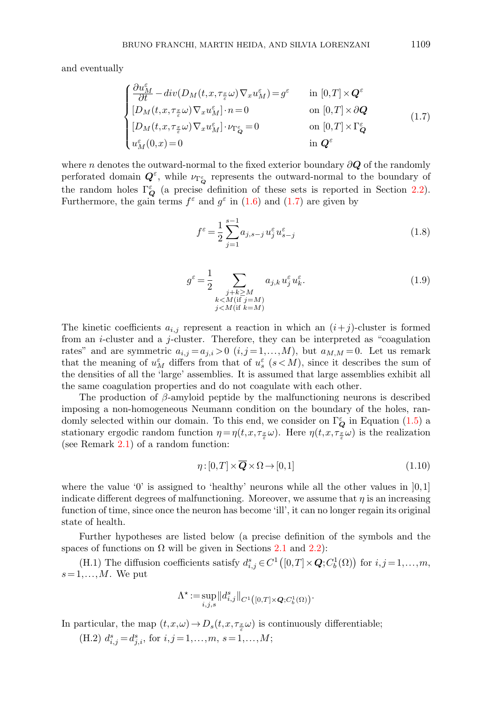and eventually

<span id="page-4-0"></span>
$$
\begin{cases} \frac{\partial u_M^{\varepsilon}}{\partial t} - div(D_M(t, x, \tau_{\frac{x}{\varepsilon}}\omega) \nabla_x u_M^{\varepsilon}) = g^{\varepsilon} & \text{in } [0, T] \times \mathbf{Q}^{\varepsilon} \\ [D_M(t, x, \tau_{\frac{x}{\varepsilon}}\omega) \nabla_x u_M^{\varepsilon}] \cdot n = 0 & \text{on } [0, T] \times \partial \mathbf{Q} \\ [D_M(t, x, \tau_{\frac{x}{\varepsilon}}\omega) \nabla_x u_M^{\varepsilon}] \cdot \nu_{\Gamma_Q^{\varepsilon}} = 0 & \text{on } [0, T] \times \Gamma_Q^{\varepsilon} \\ u_M^{\varepsilon}(0, x) = 0 & \text{in } \mathbf{Q}^{\varepsilon} & \text{on } [0, T] \times \Gamma_Q^{\varepsilon} \end{cases}
$$
(1.7)

where n denotes the outward-normal to the fixed exterior boundary  $\partial Q$  of the randomly perforated domain  $Q^{\varepsilon}$ , while  $\nu_{\Gamma_{Q}^{\varepsilon}}$  represents the outward-normal to the boundary of the random holes  $\Gamma_Q^{\varepsilon}$  (a precise definition of these sets is reported in Section [2.2\)](#page-11-0). Furthermore, the gain terms  $f^{\varepsilon}$  and  $g^{\varepsilon}$  in [\(1.6\)](#page-3-0) and [\(1.7\)](#page-4-0) are given by

$$
f^{\varepsilon} = \frac{1}{2} \sum_{j=1}^{s-1} a_{j, s-j} u_j^{\varepsilon} u_{s-j}^{\varepsilon}
$$
 (1.8)

$$
g^{\varepsilon} = \frac{1}{2} \sum_{\substack{j+k \ge M \\ k < M(\text{if } j=M) \\ j < M(\text{if } k=M)}} a_{j,k} u_j^{\varepsilon} u_k^{\varepsilon}.
$$
 (1.9)

The kinetic coefficients  $a_{i,j}$  represent a reaction in which an  $(i+j)$ -cluster is formed from an i-cluster and a j-cluster. Therefore, they can be interpreted as "coagulation rates" and are symmetric  $a_{i,j} = a_{j,i} > 0$   $(i, j = 1, ..., M)$ , but  $a_{M,M} = 0$ . Let us remark that the meaning of  $u_M^{\varepsilon}$  differs from that of  $u_s^{\varepsilon}$  ( $s < M$ ), since it describes the sum of the densities of all the 'large' assemblies. It is assumed that large assemblies exhibit all the same coagulation properties and do not coagulate with each other.

The production of  $\beta$ -amyloid peptide by the malfunctioning neurons is described imposing a non-homogeneous Neumann condition on the boundary of the holes, randomly selected within our domain. To this end, we consider on  $\Gamma_Q^{\varepsilon}$  in Equation [\(1.5\)](#page-3-1) a stationary ergodic random function  $\eta = \eta(t, x, \tau_{\frac{x}{\varepsilon}}\omega)$ . Here  $\eta(t, x, \tau_{\frac{x}{\varepsilon}}\omega)$  is the realization (see Remark [2.1\)](#page-7-0) of a random function:

$$
\eta: [0, T] \times \overline{Q} \times \Omega \to [0, 1] \tag{1.10}
$$

where the value '0' is assigned to 'healthy' neurons while all the other values in  $[0,1]$ indicate different degrees of malfunctioning. Moreover, we assume that  $\eta$  is an increasing function of time, since once the neuron has become 'ill', it can no longer regain its original state of health.

Further hypotheses are listed below (a precise definition of the symbols and the spaces of functions on  $\Omega$  will be given in Sections [2.1](#page-7-1) and [2.2\)](#page-11-0):

(H.1) The diffusion coefficients satisfy  $d_{i,j}^s \in C^1([0,T] \times \mathbf{Q}; C_b^1(\Omega))$  for  $i,j=1,\ldots,m$ ,  $s = 1, \ldots, M$ . We put

$$
\Lambda^{\star} \! := \! \sup_{i,j,s} \big\| d_{i,j}^s \big\|_{C^1\big([0,T]\times \boldsymbol{Q};C_b^1(\Omega)\big)}.
$$

In particular, the map  $(t, x, \omega) \to D_s(t, x, \tau_{\xi} \omega)$  is continuously differentiable;

(H.2)  $d_{i,j}^s = d_{j,i}^s$ , for  $i,j = 1,...,m$ ,  $s = 1,...,M$ ;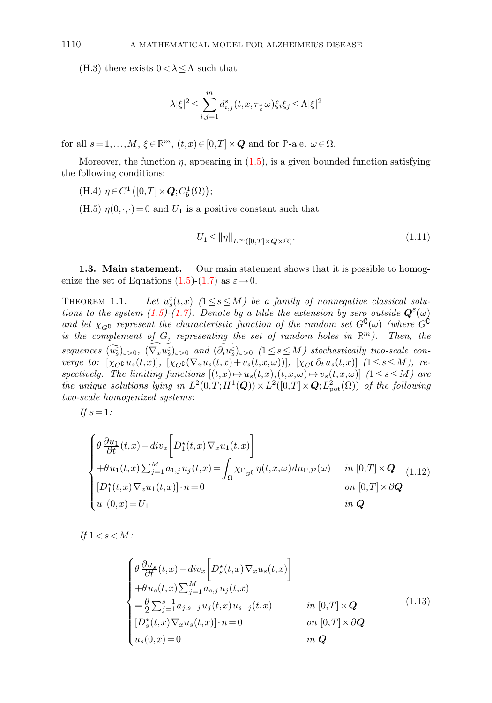(H.3) there exists  $0 < \lambda \leq \Lambda$  such that

$$
\lambda |\xi|^2 \le \sum_{i,j=1}^m d_{i,j}^s(t, x, \tau_{\frac{x}{\varepsilon}} \omega) \xi_i \xi_j \le \Lambda |\xi|^2
$$

for all  $s = 1,...,M$ ,  $\xi \in \mathbb{R}^m$ ,  $(t,x) \in [0,T] \times \overline{Q}$  and for **P**-a.e.  $\omega \in \Omega$ .

Moreover, the function  $\eta$ , appearing in [\(1.5\)](#page-3-1), is a given bounded function satisfying the following conditions:

(H.4) 
$$
\eta \in C^1([0,T] \times \mathbf{Q}; C_b^1(\Omega));
$$

(H.5)  $\eta(0,\cdot,\cdot)=0$  and  $U_1$  is a positive constant such that

$$
U_1 \le ||\eta||_{L^{\infty}([0,T] \times \overline{Q} \times \Omega)}.
$$
\n(1.11)

<span id="page-5-1"></span>1.3. Main statement. Our main statement shows that it is possible to homog-enize the set of Equations [\(1.5\)](#page-3-1)-[\(1.7\)](#page-4-0) as  $\varepsilon \rightarrow 0$ .

<span id="page-5-0"></span>THEOREM 1.1.  $\sum_{s}^{\varepsilon}(t,x)$  (1  $\leq$  s  $\leq$  M) be a family of nonnegative classical solu-tions to the system [\(1.5\)](#page-3-1)-[\(1.7\)](#page-4-0). Denote by a tilde the extension by zero outside  $\mathbf{Q}^{\varepsilon}(\omega)$ and let  $\chi_{G}$  represent the characteristic function of the random set  $G^{\complement}(\omega)$  (where  $G^{\complement}$ is the complement of  $G$ , representing the set of random holes in  $\mathbb{R}^m$ ). Then, the  $sequence \widetilde{u_s^{\varepsilon}}_{\varepsilon>0}, \widetilde{(\nabla_u u_s^{\varepsilon})}_{\varepsilon>0}$  and  $(\widetilde{\partial_t u_s^{\varepsilon}})_{\varepsilon>0}$  (1  $\leq s \leq M$ ) stochastically two-scale converge to:  $[\chi_{G} \mathfrak{c} u_s(t,x)], [\chi_{G} \mathfrak{c} (\nabla_x u_s(t,x)+v_s(t,x,\omega))], [\chi_{G} \mathfrak{c} \partial_t u_s(t,x)]$  ( $1 \leq s \leq M$ ), respectively. The limiting functions  $[(t,x)\mapsto u_s(t,x),(t,x,\omega)\mapsto v_s(t,x,\omega)]$   $(1\leq s\leq M)$  are the unique solutions lying in  $L^2(0,T;H^1(\mathbf{Q})) \times L^2([0,T] \times \mathbf{Q};L^2_{\text{pot}}(\Omega))$  of the following two-scale homogenized systems:

If  $s=1$ :

$$
\begin{cases}\n\theta \frac{\partial u_1}{\partial t}(t,x) - div_x \left[ D_1^*(t,x) \nabla_x u_1(t,x) \right] \\
+ \theta u_1(t,x) \sum_{j=1}^M a_{1,j} u_j(t,x) = \int_{\Omega} \chi_{\Gamma_{G^c}} \eta(t,x,\omega) d\mu_{\Gamma,\mathcal{P}}(\omega) & \text{in } [0,T] \times \mathbf{Q} \\
[D_1^*(t,x) \nabla_x u_1(t,x)] \cdot n = 0 & \text{on } [0,T] \times \partial \mathbf{Q} \\
u_1(0,x) = U_1 & \text{in } \mathbf{Q}\n\end{cases}
$$
\n(1.12)

If  $1 < s < M$ :

$$
\begin{cases}\n\theta \frac{\partial u_s}{\partial t}(t,x) - div_x \bigg[ D_s^{\star}(t,x) \nabla_x u_s(t,x) \bigg] \\
+ \theta u_s(t,x) \sum_{j=1}^M a_{s,j} u_j(t,x) \\
= \frac{\theta}{2} \sum_{j=1}^{s-1} a_{j,s-j} u_j(t,x) u_{s-j}(t,x) & \text{in } [0,T] \times Q \\
[D_s^{\star}(t,x) \nabla_x u_s(t,x)] \cdot n = 0 & \text{on } [0,T] \times \partial Q \\
u_s(0,x) = 0 & \text{in } Q\n\end{cases}
$$
\n(1.13)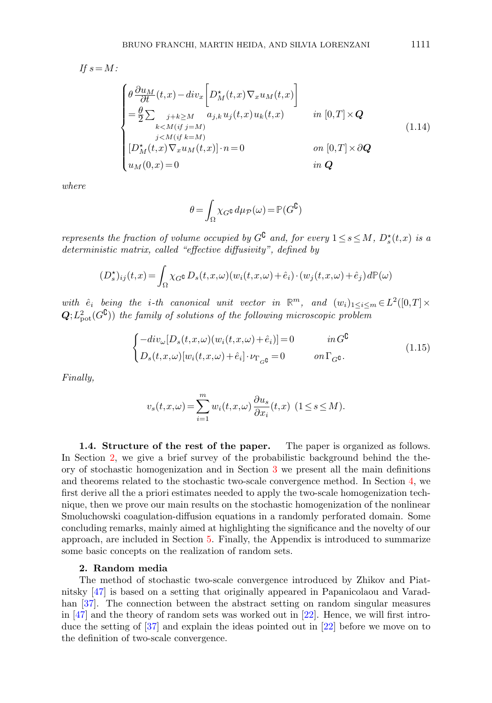$$
If s = M:
$$
\n
$$
\begin{cases}\n\theta \frac{\partial u_M}{\partial t}(t, x) - div_x \left[ D_M^{\star}(t, x) \nabla_x u_M(t, x) \right] \\
= \frac{\theta}{2} \sum_{\substack{j+k \ge M \\ k < M \ (if \ j = M) \\ j < M \ (if \ k = M) \\ j < M \ (if \ k = M) \\ u_M(0, x) = 0}\n\end{cases}
$$
\n
$$
(1.14)
$$
\n
$$
(1.14)
$$
\n
$$
[D_M^{\star}(t, x) \nabla_x u_M(t, x)] \cdot n = 0
$$
\n
$$
on [0, T] \times \partial \mathbf{Q}
$$

where

$$
\theta = \int_{\Omega} \chi_{G} \mathfrak{e} \, d\mu_{\mathcal{P}}(\omega) = \mathbb{P}(G^{\complement})
$$

represents the fraction of volume occupied by  $G^{\complement}$  and, for every  $1 \leq s \leq M$ ,  $D_s^{\star}(t,x)$  is a deterministic matrix, called "effective diffusivity", defined by

$$
(D_s^{\star})_{ij}(t,x) = \int_{\Omega} \chi_G \mathbf{G} \, D_s(t,x,\omega) (w_i(t,x,\omega) + \hat{e}_i) \cdot (w_j(t,x,\omega) + \hat{e}_j) \, d\mathbb{P}(\omega)
$$

with  $\hat{e}_i$  being the *i*-th canonical unit vector in  $\mathbb{R}^m$ , and  $(w_i)_{1 \leq i \leq m} \in L^2([0,T] \times$  $\mathbf{Q}; L^2_{\text{pot}}(G^{\complement})$  the family of solutions of the following microscopic problem

$$
\begin{cases}\n-\operatorname{div}_{\omega}[D_s(t, x, \omega)(w_i(t, x, \omega) + \hat{e}_i)] = 0 & \text{in } G^{\complement} \\
D_s(t, x, \omega)[w_i(t, x, \omega) + \hat{e}_i] \cdot \nu_{\Gamma_{G^{\complement}}} = 0 & \text{on } \Gamma_{G^{\complement}}.\n\end{cases} \tag{1.15}
$$

Finally,

$$
v_s(t, x, \omega) = \sum_{i=1}^m w_i(t, x, \omega) \frac{\partial u_s}{\partial x_i}(t, x) \ (1 \le s \le M).
$$

1.4. Structure of the rest of the paper. The paper is organized as follows. In Section [2,](#page-6-0) we give a brief survey of the probabilistic background behind the theory of stochastic homogenization and in Section [3](#page-15-0) we present all the main definitions and theorems related to the stochastic two-scale convergence method. In Section [4,](#page-18-0) we first derive all the a priori estimates needed to apply the two-scale homogenization technique, then we prove our main results on the stochastic homogenization of the nonlinear Smoluchowski coagulation-diffusion equations in a randomly perforated domain. Some concluding remarks, mainly aimed at highlighting the significance and the novelty of our approach, are included in Section [5.](#page-21-0) Finally, the Appendix is introduced to summarize some basic concepts on the realization of random sets.

#### 2. Random media

<span id="page-6-0"></span>The method of stochastic two-scale convergence introduced by Zhikov and Piatnitsky [\[47\]](#page-29-3) is based on a setting that originally appeared in Papanicolaou and Varad-han [\[37\]](#page-28-10). The connection between the abstract setting on random singular measures in [\[47\]](#page-29-3) and the theory of random sets was worked out in [\[22\]](#page-28-11). Hence, we will first introduce the setting of [\[37\]](#page-28-10) and explain the ideas pointed out in [\[22\]](#page-28-11) before we move on to the definition of two-scale convergence.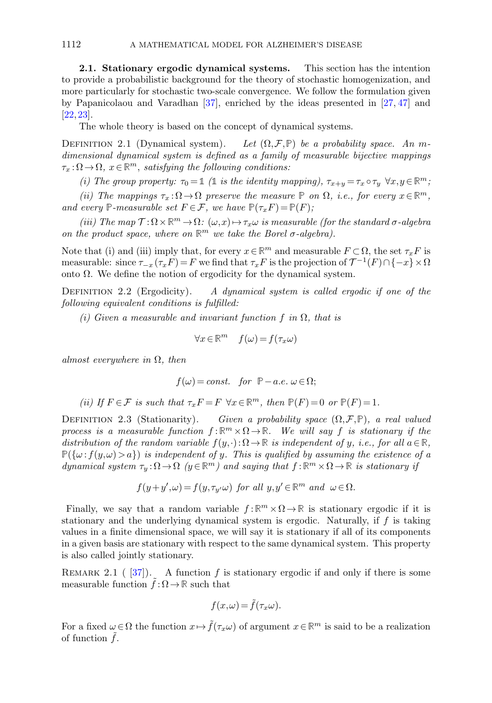<span id="page-7-1"></span>2.1. Stationary ergodic dynamical systems. This section has the intention to provide a probabilistic background for the theory of stochastic homogenization, and more particularly for stochastic two-scale convergence. We follow the formulation given by Papanicolaou and Varadhan [\[37\]](#page-28-10), enriched by the ideas presented in [\[27,](#page-28-12) [47\]](#page-29-3) and [\[22,](#page-28-11) [23\]](#page-28-13).

The whole theory is based on the concept of dynamical systems.

<span id="page-7-2"></span>DEFINITION 2.1 (Dynamical system). Let  $(\Omega, \mathcal{F}, \mathbb{P})$  be a probability space. An mdimensional dynamical system is defined as a family of measurable bijective mappings  $\tau_x : \Omega \to \Omega$ ,  $x \in \mathbb{R}^m$ , satisfying the following conditions:

(i) The group property:  $\tau_0 = \mathbb{1}$  ( $\mathbb{1}$  is the identity mapping),  $\tau_{x+y} = \tau_x \circ \tau_y \ \forall x, y \in \mathbb{R}^m$ ;

(ii) The mappings  $\tau_x : \Omega \to \Omega$  preserve the measure **P** on  $\Omega$ , i.e., for every  $x \in \mathbb{R}^m$ , and every  $\mathbb{P}\text{-}measurable set  $F \in \mathcal{F}$ , we have  $\mathbb{P}(\tau_x F) = \mathbb{P}(F)$ ;$ 

(iii) The map  $\mathcal{T}:\Omega\times\mathbb{R}^m\to\Omega\colon(\omega,x)\mapsto\tau_x\omega$  is measurable (for the standard  $\sigma$ -algebra on the product space, where on  $\mathbb{R}^m$  we take the Borel  $\sigma$ -algebra).

Note that (i) and (iii) imply that, for every  $x \in \mathbb{R}^m$  and measurable  $F \subset \Omega$ , the set  $\tau_x F$  is measurable: since  $\tau_{-x}(\tau_x F) = F$  we find that  $\tau_x F$  is the projection of  $\mathcal{T}^{-1}(F) \cap \{-x\} \times \Omega$ onto Ω. We define the notion of ergodicity for the dynamical system.

<span id="page-7-3"></span>DEFINITION 2.2 (Ergodicity). A dynamical system is called ergodic if one of the following equivalent conditions is fulfilled:

(i) Given a measurable and invariant function f in  $\Omega$ , that is

$$
\forall x \in \mathbb{R}^m \quad f(\omega) = f(\tau_x \omega)
$$

almost everywhere in  $\Omega$ , then

$$
f(\omega)=const.\quad for\ \ \mathbb{P}-a.e.\ \omega\,{\in}\,\Omega;
$$

(ii) If 
$$
F \in \mathcal{F}
$$
 is such that  $\tau_x F = F \ \forall x \in \mathbb{R}^m$ , then  $\mathbb{P}(F) = 0$  or  $\mathbb{P}(F) = 1$ .

DEFINITION 2.3 (Stationarity). Given a probability space  $(\Omega, \mathcal{F}, \mathbb{P})$ , a real valued process is a measurable function  $f : \mathbb{R}^m \times \Omega \to \mathbb{R}$ . We will say f is stationary if the distribution of the random variable  $f(y, \cdot): \Omega \to \mathbb{R}$  is independent of y, i.e., for all  $a \in \mathbb{R}$ ,  $P({\{\omega: f(y,\omega)>a\}})$  is independent of y. This is qualified by assuming the existence of a dynamical system  $\tau_y : \Omega \to \Omega$  ( $y \in \mathbb{R}^m$ ) and saying that  $f : \mathbb{R}^m \times \Omega \to \mathbb{R}$  is stationary if

$$
f(y+y',\omega) = f(y,\tau_{y'}\omega)
$$
 for all  $y,y' \in \mathbb{R}^m$  and  $\omega \in \Omega$ .

Finally, we say that a random variable  $f : \mathbb{R}^m \times \Omega \to \mathbb{R}$  is stationary ergodic if it is stationary and the underlying dynamical system is ergodic. Naturally, if  $f$  is taking values in a finite dimensional space, we will say it is stationary if all of its components in a given basis are stationary with respect to the same dynamical system. This property is also called jointly stationary.

<span id="page-7-0"></span>REMARK 2.1 ( $[37]$ ). A function f is stationary ergodic if and only if there is some measurable function  $f : \Omega \to \mathbb{R}$  such that

$$
f(x,\omega) = \tilde{f}(\tau_x \omega).
$$

For a fixed  $\omega \in \Omega$  the function  $x \mapsto \tilde{f}(\tau_x \omega)$  of argument  $x \in \mathbb{R}^m$  is said to be a realization of function  $f$ .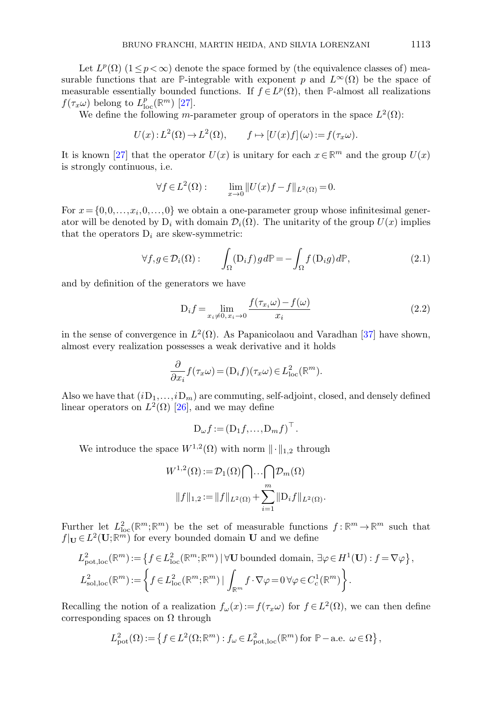Let  $L^p(\Omega)$   $(1 \leq p < \infty)$  denote the space formed by (the equivalence classes of) measurable functions that are **P**-integrable with exponent p and  $L^{\infty}(\Omega)$  be the space of measurable essentially bounded functions. If  $f \in L^p(\Omega)$ , then **P**-almost all realizations  $f(\tau_x \omega)$  belong to  $L^p_{\text{loc}}(\mathbb{R}^m)$  [\[27\]](#page-28-12).

We define the following m-parameter group of operators in the space  $L^2(\Omega)$ :

$$
U(x): L^{2}(\Omega) \to L^{2}(\Omega), \qquad f \mapsto [U(x)f](\omega) := f(\tau_{x}\omega).
$$

It is known [\[27\]](#page-28-12) that the operator  $U(x)$  is unitary for each  $x \in \mathbb{R}^m$  and the group  $U(x)$ is strongly continuous, i.e.

$$
\forall f \in L^2(\Omega): \qquad \lim_{x \to 0} \|U(x)f - f\|_{L^2(\Omega)} = 0.
$$

For  $x = \{0, 0, \ldots, x_i, 0, \ldots, 0\}$  we obtain a one-parameter group whose infinitesimal generator will be denoted by  $D_i$  with domain  $\mathcal{D}_i(\Omega)$ . The unitarity of the group  $U(x)$  implies that the operators  $D_i$  are skew-symmetric:

$$
\forall f, g \in \mathcal{D}_i(\Omega): \qquad \int_{\Omega} (\mathcal{D}_i f) g \, d\mathbb{P} = -\int_{\Omega} f(\mathcal{D}_i g) \, d\mathbb{P},\tag{2.1}
$$

and by definition of the generators we have

<span id="page-8-0"></span>
$$
D_i f = \lim_{x_i \neq 0, x_i \to 0} \frac{f(\tau_{x_i}\omega) - f(\omega)}{x_i}
$$
\n(2.2)

in the sense of convergence in  $L^2(\Omega)$ . As Papanicolaou and Varadhan [\[37\]](#page-28-10) have shown, almost every realization possesses a weak derivative and it holds

$$
\frac{\partial}{\partial x_i} f(\tau_x \omega) = (D_i f)(\tau_x \omega) \in L^2_{loc}(\mathbb{R}^m).
$$

Also we have that  $(iD_1,...,iD_m)$  are commuting, self-adjoint, closed, and densely defined linear operators on  $L^2(\Omega)$  [\[26\]](#page-28-14), and we may define

$$
D_{\omega}f := (D_1f, \ldots, D_mf)^{\top}.
$$

We introduce the space  $W^{1,2}(\Omega)$  with norm  $\|\cdot\|_{1,2}$  through

$$
W^{1,2}(\Omega) := \mathcal{D}_1(\Omega) \bigcap \cdots \bigcap \mathcal{D}_m(\Omega)
$$

$$
||f||_{1,2} := ||f||_{L^2(\Omega)} + \sum_{i=1}^m ||D_i f||_{L^2(\Omega)}.
$$

Further let  $L^2_{loc}(\mathbb{R}^m;\mathbb{R}^m)$  be the set of measurable functions  $f:\mathbb{R}^m\to\mathbb{R}^m$  such that  $f|_{\mathbf{U}} \in L^2(\mathbf{U}; \mathbb{R}^m)$  for every bounded domain **U** and we define

$$
L_{\text{pot,loc}}^2(\mathbb{R}^m) := \left\{ f \in L_{\text{loc}}^2(\mathbb{R}^m; \mathbb{R}^m) \mid \forall \mathbf{U} \text{ bounded domain, } \exists \varphi \in H^1(\mathbf{U}) : f = \nabla \varphi \right\},\
$$
  

$$
L_{\text{sol,loc}}^2(\mathbb{R}^m) := \left\{ f \in L_{\text{loc}}^2(\mathbb{R}^m; \mathbb{R}^m) \mid \int_{\mathbb{R}^m} f \cdot \nabla \varphi = 0 \,\forall \varphi \in C_c^1(\mathbb{R}^m) \right\}.
$$

Recalling the notion of a realization  $f_{\omega}(x) := f(\tau_x \omega)$  for  $f \in L^2(\Omega)$ , we can then define corresponding spaces on  $\Omega$  through

$$
L^2_{\text{pot}}(\Omega) := \left\{ f \in L^2(\Omega; \mathbb{R}^m) : f_\omega \in L^2_{\text{pot,loc}}(\mathbb{R}^m) \text{ for } \mathbb{P}-\text{a.e. } \omega \in \Omega \right\},\
$$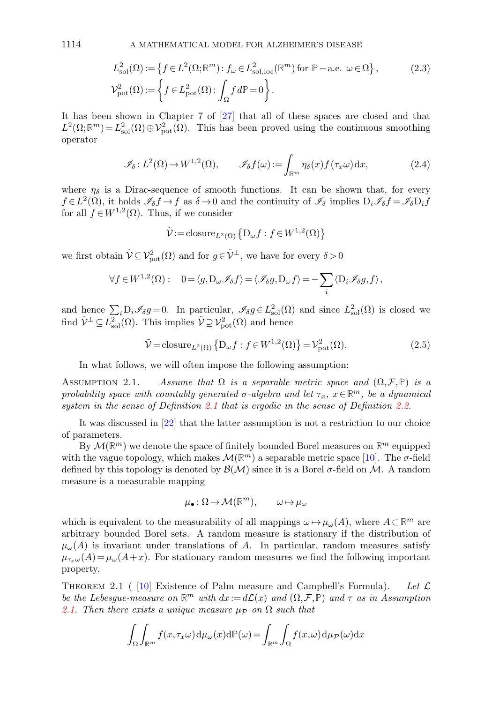$$
L_{\text{sol}}^2(\Omega) := \left\{ f \in L^2(\Omega; \mathbb{R}^m) : f_\omega \in L_{\text{sol},\text{loc}}^2(\mathbb{R}^m) \text{ for } \mathbb{P}-\text{a.e. } \omega \in \Omega \right\},\tag{2.3}
$$
  

$$
\mathcal{V}_{\text{pot}}^2(\Omega) := \left\{ f \in L_{\text{pot}}^2(\Omega) : \int_{\Omega} f d\mathbb{P} = 0 \right\}.
$$

It has been shown in Chapter 7 of [\[27\]](#page-28-12) that all of these spaces are closed and that  $L^2(\Omega;\mathbb{R}^m) = L^2_{\text{sol}}(\Omega) \oplus \mathcal{V}_{\text{pot}}^2(\Omega)$ . This has been proved using the continuous smoothing operator

<span id="page-9-2"></span>
$$
\mathscr{I}_{\delta}: L^{2}(\Omega) \to W^{1,2}(\Omega), \qquad \mathscr{I}_{\delta}f(\omega) := \int_{\mathbb{R}^{m}} \eta_{\delta}(x) f(\tau_{x}\omega) dx, \tag{2.4}
$$

where  $\eta_{\delta}$  is a Dirac-sequence of smooth functions. It can be shown that, for every  $f \in L^2(\Omega)$ , it holds  $\mathscr{I}_{\delta} f \to f$  as  $\delta \to 0$  and the continuity of  $\mathscr{I}_{\delta}$  implies  $D_i \mathscr{I}_{\delta} f = \mathscr{I}_{\delta} D_i f$ for all  $f \in W^{1,2}(\Omega)$ . Thus, if we consider

<span id="page-9-3"></span>
$$
\tilde{\mathcal{V}} := \operatorname{closure}_{L^2(\Omega)} \left\{ \mathcal{D}_{\omega} f : f \in W^{1,2}(\Omega) \right\}
$$

we first obtain  $\tilde{\mathcal{V}} \subseteq \mathcal{V}_{pot}^2(\Omega)$  and for  $g \in \tilde{\mathcal{V}}^{\perp}$ , we have for every  $\delta > 0$ 

$$
\forall f \in W^{1,2}(\Omega): \quad 0 = \langle g, D_{\omega} \mathscr{I}_{\delta} f \rangle = \langle \mathscr{I}_{\delta} g, D_{\omega} f \rangle = -\sum_{i} \langle D_{i} \mathscr{I}_{\delta} g, f \rangle,
$$

and hence  $\sum_i D_i \mathscr{I}_{\delta} g = 0$ . In particular,  $\mathscr{I}_{\delta} g \in L^2_{sol}(\Omega)$  and since  $L^2_{sol}(\Omega)$  is closed we find  $\tilde{\mathcal{V}}^{\perp} \subseteq L^2_{sol}(\Omega)$ . This implies  $\tilde{\mathcal{V}} \supseteq \mathcal{V}_{pot}^2(\Omega)$  and hence

$$
\tilde{\mathcal{V}} = \text{closure}_{L^2(\Omega)} \left\{ D_{\omega} f : f \in W^{1,2}(\Omega) \right\} = \mathcal{V}_{\text{pot}}^2(\Omega). \tag{2.5}
$$

In what follows, we will often impose the following assumption:

<span id="page-9-0"></span>ASSUMPTION 2.1. Assume that  $\Omega$  is a separable metric space and  $(\Omega, \mathcal{F}, \mathbb{P})$  is a probability space with countably generated  $\sigma$ -algebra and let  $\tau_x$ ,  $x \in \mathbb{R}^m$ , be a dynamical system in the sense of Definition [2.1](#page-7-2) that is ergodic in the sense of Definition [2.2.](#page-7-3)

It was discussed in [\[22\]](#page-28-11) that the latter assumption is not a restriction to our choice of parameters.

By  $\mathcal{M}(\mathbb{R}^m)$  we denote the space of finitely bounded Borel measures on  $\mathbb{R}^m$  equipped with the vague topology, which makes  $\mathcal{M}(\mathbb{R}^m)$  a separable metric space [\[10\]](#page-27-6). The  $\sigma$ -field defined by this topology is denoted by  $\mathcal{B}(\mathcal{M})$  since it is a Borel  $\sigma$ -field on  $\mathcal{M}$ . A random measure is a measurable mapping

$$
\mu_{\bullet}: \Omega \to \mathcal{M}(\mathbb{R}^m), \qquad \omega \mapsto \mu_{\omega}
$$

which is equivalent to the measurability of all mappings  $\omega \mapsto \mu_{\omega}(A)$ , where  $A \subset \mathbb{R}^m$  are arbitrary bounded Borel sets. A random measure is stationary if the distribution of  $\mu_{\omega}(A)$  is invariant under translations of A. In particular, random measures satisfy  $\mu_{\tau_x\omega}(A) = \mu_{\omega}(A+x)$ . For stationary random measures we find the following important property.

<span id="page-9-1"></span>THEOREM 2.1 ( [\[10\]](#page-27-6) Existence of Palm measure and Campbell's Formula). Let  $\mathcal L$ be the Lebesgue-measure on  $\mathbb{R}^m$  with  $dx:=d\mathcal{L}(x)$  and  $(\Omega,\mathcal{F},\mathbb{P})$  and  $\tau$  as in Assumption [2.1.](#page-9-0) Then there exists a unique measure  $\mu_{\mathcal{P}}$  on  $\Omega$  such that

$$
\int_{\Omega} \int_{\mathbb{R}^m} f(x, \tau_x \omega) d\mu_{\omega}(x) d\mathbb{P}(\omega) = \int_{\mathbb{R}^m} \int_{\Omega} f(x, \omega) d\mu_{\mathcal{P}}(\omega) dx
$$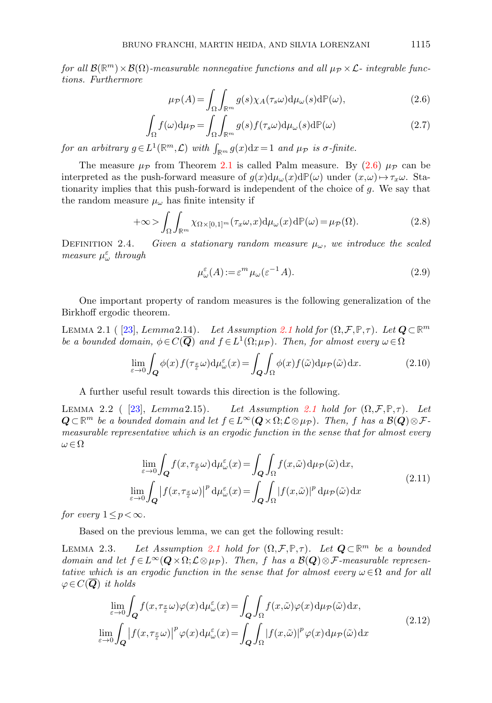for all  $\mathcal{B}(\mathbb{R}^m)\times\mathcal{B}(\Omega)$ -measurable nonnegative functions and all  $\mu_{\mathcal{P}}\times\mathcal{L}$ - integrable functions. Furthermore

<span id="page-10-0"></span>
$$
\mu_{\mathcal{P}}(A) = \int_{\Omega} \int_{\mathbb{R}^m} g(s) \chi_A(\tau_s \omega) \mathrm{d} \mu_{\omega}(s) \mathrm{d} \mathbb{P}(\omega), \tag{2.6}
$$

$$
\int_{\Omega} f(\omega) d\mu_{\mathcal{P}} = \int_{\Omega} \int_{\mathbb{R}^m} g(s) f(\tau_s \omega) d\mu_{\omega}(s) d\mathbb{P}(\omega)
$$
\n(2.7)

for an arbitrary  $g \in L^1(\mathbb{R}^m, \mathcal{L})$  with  $\int_{\mathbb{R}^m} g(x) dx = 1$  and  $\mu_{\mathcal{P}}$  is  $\sigma$ -finite.

The measure  $\mu_{\mathcal{P}}$  from Theorem [2.1](#page-9-1) is called Palm measure. By [\(2.6\)](#page-10-0)  $\mu_{\mathcal{P}}$  can be interpreted as the push-forward measure of  $g(x)d\mu_{\omega}(x)d\mathbb{P}(\omega)$  under  $(x,\omega)\mapsto\tau_x\omega$ . Stationarity implies that this push-forward is independent of the choice of  $g$ . We say that the random measure  $\mu_{\omega}$  has finite intensity if

$$
+\infty > \int_{\Omega} \int_{\mathbb{R}^m} \chi_{\Omega \times [0,1]^m}(\tau_x \omega, x) d\mu_{\omega}(x) d\mathbb{P}(\omega) = \mu_{\mathcal{P}}(\Omega). \tag{2.8}
$$

DEFINITION 2.4. Given a stationary random measure  $\mu_{\omega}$ , we introduce the scaled measure  $\mu_{\omega}^{\varepsilon}$  through

$$
\mu_{\omega}^{\varepsilon}(A) := \varepsilon^{m} \mu_{\omega}(\varepsilon^{-1} A). \tag{2.9}
$$

One important property of random measures is the following generalization of the Birkhoff ergodic theorem.

<span id="page-10-4"></span>LEMMA 2.1 ( [\[23\]](#page-28-13), Lemma [2.1](#page-9-0)4). Let Assumption 2.1 hold for  $(\Omega, \mathcal{F}, \mathbb{P}, \tau)$ . Let  $Q \subset \mathbb{R}^m$ be a bounded domain,  $\phi \in C(\overline{Q})$  and  $f \in L^1(\Omega; \mu_{\mathcal{P}})$ . Then, for almost every  $\omega \in \Omega$ 

$$
\lim_{\varepsilon \to 0} \int_{\mathbf{Q}} \phi(x) f(\tau_{\frac{x}{\varepsilon}} \omega) d\mu_{\omega}^{\varepsilon}(x) = \int_{\mathbf{Q}} \int_{\Omega} \phi(x) f(\tilde{\omega}) d\mu_{\mathcal{P}}(\tilde{\omega}) dx.
$$
 (2.10)

A further useful result towards this direction is the following.

<span id="page-10-1"></span>LEMMA 2.2 ( [\[23\]](#page-28-13), Lemma [2.1](#page-9-0)5). Let Assumption 2.1 hold for  $(\Omega, \mathcal{F}, \mathbb{P}, \tau)$ . Let  $Q\subset\mathbb{R}^m$  be a bounded domain and let  $f\in L^\infty(Q\times\Omega; \mathcal{L}\otimes\mu_\mathcal{P})$ . Then, f has a  $\mathcal{B}(\mathbf{Q})\otimes\mathcal{F}$ measurable representative which is an ergodic function in the sense that for almost every  $\omega \in \Omega$ 

$$
\lim_{\varepsilon \to 0} \int_{Q} f(x, \tau_{\frac{x}{\varepsilon}} \omega) d\mu_{\omega}^{\varepsilon}(x) = \int_{Q} \int_{\Omega} f(x, \tilde{\omega}) d\mu_{\mathcal{P}}(\tilde{\omega}) dx,
$$
\n
$$
\lim_{\varepsilon \to 0} \int_{Q} \left| f(x, \tau_{\frac{x}{\varepsilon}} \omega) \right|^{p} d\mu_{\omega}^{\varepsilon}(x) = \int_{Q} \int_{\Omega} \left| f(x, \tilde{\omega}) \right|^{p} d\mu_{\mathcal{P}}(\tilde{\omega}) dx
$$
\n(2.11)

for every  $1 \leq p < \infty$ .

Based on the previous lemma, we can get the following result:

<span id="page-10-3"></span>LEMMA 2.3. Let Assumption [2.1](#page-9-0) hold for  $(\Omega, \mathcal{F}, \mathbb{P}, \tau)$ . Let  $Q \subset \mathbb{R}^m$  be a bounded domain and let  $f \in L^{\infty}(\mathbf{Q} \times \Omega; \mathcal{L} \otimes \mu_{\mathcal{P}})$ . Then, f has a  $\mathcal{B}(\mathbf{Q}) \otimes \mathcal{F}$ -measurable representative which is an ergodic function in the sense that for almost every  $\omega \in \Omega$  and for all  $\varphi \in C(Q)$  it holds

<span id="page-10-2"></span>
$$
\lim_{\varepsilon \to 0} \int_{\mathbf{Q}} f(x, \tau_{\frac{x}{\varepsilon}} \omega) \varphi(x) d\mu_{\omega}^{\varepsilon}(x) = \int_{\mathbf{Q}} \int_{\Omega} f(x, \tilde{\omega}) \varphi(x) d\mu_{\mathcal{P}}(\tilde{\omega}) dx,
$$
\n
$$
\lim_{\varepsilon \to 0} \int_{\mathbf{Q}} \left| f(x, \tau_{\frac{x}{\varepsilon}} \omega) \right|^{p} \varphi(x) d\mu_{\omega}^{\varepsilon}(x) = \int_{\mathbf{Q}} \int_{\Omega} \left| f(x, \tilde{\omega}) \right|^{p} \varphi(x) d\mu_{\mathcal{P}}(\tilde{\omega}) dx
$$
\n(2.12)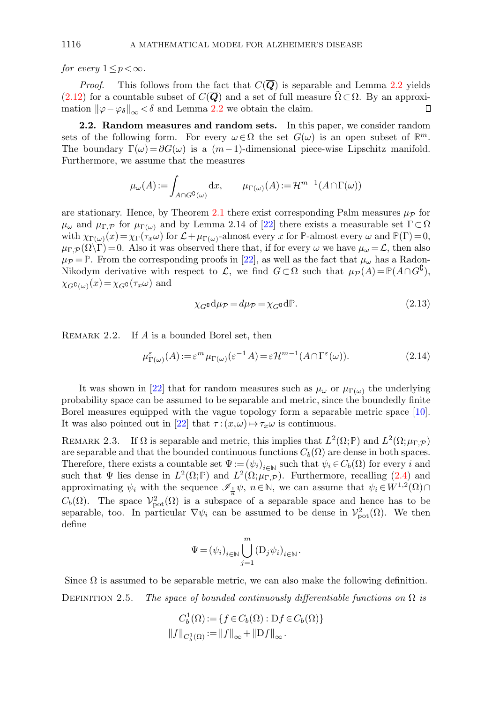for every  $1 \leq p < \infty$ .

*Proof.* This follows from the fact that  $C(Q)$  is separable and Lemma [2.2](#page-10-1) yields  $(2.12)$  for a countable subset of  $C(Q)$  and a set of full measure  $\Omega \subset \Omega$ . By an approximation  $\|\varphi-\varphi_{\delta}\|_{\infty} < \delta$  and Lemma [2.2](#page-10-1) we obtain the claim.  $\Box$ 

<span id="page-11-0"></span>2.2. Random measures and random sets. In this paper, we consider random sets of the following form. For every  $\omega \in \Omega$  the set  $G(\omega)$  is an open subset of  $\mathbb{R}^m$ . The boundary  $\Gamma(\omega) = \partial G(\omega)$  is a  $(m-1)$ -dimensional piece-wise Lipschitz manifold. Furthermore, we assume that the measures

$$
\mu_{\omega}(A) := \int_{A \cap G^{\complement}(\omega)} \mathrm{d}x, \qquad \mu_{\Gamma(\omega)}(A) := \mathcal{H}^{m-1}(A \cap \Gamma(\omega))
$$

are stationary. Hence, by Theorem [2.1](#page-9-1) there exist corresponding Palm measures  $\mu_{\mathcal{P}}$  for  $\mu_{\omega}$  and  $\mu_{\Gamma,\mathcal{P}}$  for  $\mu_{\Gamma(\omega)}$  and by Lemma 2.14 of [\[22\]](#page-28-11) there exists a measurable set  $\Gamma \subset \Omega$ with  $\chi_{\Gamma(\omega)}(x) = \chi_{\Gamma}(\tau_x \omega)$  for  $\mathcal{L} + \mu_{\Gamma(\omega)}$ -almost every x for **P**-almost every  $\omega$  and  $\mathbb{P}(\Gamma) = 0$ ,  $\mu_{\Gamma,\mathcal{P}}(\Omega\backslash\Gamma)=0$ . Also it was observed there that, if for every  $\omega$  we have  $\mu_{\omega}=\mathcal{L}$ , then also  $\mu_{\mathcal{P}} = \mathbb{P}$ . From the corresponding proofs in [\[22\]](#page-28-11), as well as the fact that  $\mu_{\omega}$  has a Radon-Nikodym derivative with respect to L, we find  $G \subset \Omega$  such that  $\mu_{\mathcal{P}}(A) = \mathbb{P}(A \cap G^{\complement})$ ,  $\chi_{G}$ c<sub>(ω)</sub> $(x) = \chi_{G}$ c( $\tau_x \omega$ ) and

<span id="page-11-2"></span>
$$
\chi_{G} \mathbf{d} \mu_{\mathcal{P}} = d \mu_{\mathcal{P}} = \chi_{G} \mathbf{d} \mathbb{P}.
$$
\n(2.13)

REMARK 2.2. If A is a bounded Borel set, then

$$
\mu_{\Gamma(\omega)}^{\varepsilon}(A) := \varepsilon^m \mu_{\Gamma(\omega)}(\varepsilon^{-1}A) = \varepsilon \mathcal{H}^{m-1}(A \cap \Gamma^{\varepsilon}(\omega)).
$$
\n(2.14)

It was shown in [\[22\]](#page-28-11) that for random measures such as  $\mu_{\omega}$  or  $\mu_{\Gamma(\omega)}$  the underlying probability space can be assumed to be separable and metric, since the boundedly finite Borel measures equipped with the vague topology form a separable metric space [\[10\]](#page-27-6). It was also pointed out in [\[22\]](#page-28-11) that  $\tau : (x, \omega) \mapsto \tau_x \omega$  is continuous.

<span id="page-11-1"></span>REMARK 2.3. If  $\Omega$  is separable and metric, this implies that  $L^2(\Omega; \mathbb{P})$  and  $L^2(\Omega; \mu_{\Gamma, \mathcal{P}})$ are separable and that the bounded continuous functions  $C_b(\Omega)$  are dense in both spaces. Therefore, there exists a countable set  $\Psi := (\psi_i)_{i \in \mathbb{N}}$  such that  $\psi_i \in C_b(\Omega)$  for every i and such that  $\Psi$  lies dense in  $L^2(\Omega; \mathbb{P})$  and  $L^2(\Omega; \mu_{\Gamma, \mathcal{P}})$ . Furthermore, recalling [\(2.4\)](#page-9-2) and approximating  $\psi_i$  with the sequence  $\mathscr{I}_{\frac{1}{n}}\psi$ ,  $n \in \mathbb{N}$ , we can assume that  $\psi_i \in W^{1,2}(\Omega) \cap$  $C_b(\Omega)$ . The space  $\mathcal{V}_{\text{pot}}^2(\Omega)$  is a subspace of a separable space and hence has to be separable, too. In particular  $\nabla \psi_i$  can be assumed to be dense in  $\mathcal{V}_{\text{pot}}^2(\Omega)$ . We then define

$$
\Psi = (\psi_i)_{i \in \mathbb{N}} \bigcup_{j=1}^m (\mathcal{D}_j \psi_i)_{i \in \mathbb{N}}.
$$

Since  $\Omega$  is assumed to be separable metric, we can also make the following definition. DEFINITION 2.5. The space of bounded continuously differentiable functions on  $\Omega$  is

$$
C_b^1(\Omega) := \{ f \in C_b(\Omega) : \mathrm{D}f \in C_b(\Omega) \}
$$
  

$$
||f||_{C_b^1(\Omega)} := ||f||_{\infty} + ||\mathrm{D}f||_{\infty}.
$$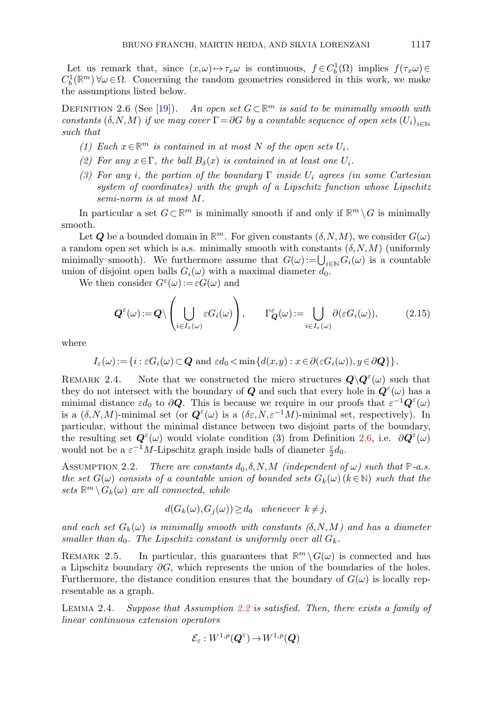Let us remark that, since  $(x,\omega) \mapsto \tau_x\omega$  is continuous,  $f \in C_b^1(\Omega)$  implies  $f(\tau_x\omega) \in$  $C_b^1(\mathbb{R}^m)$   $\forall \omega \in \Omega$ . Concerning the random geometries considered in this work, we make the assumptions listed below.

<span id="page-12-0"></span>DEFINITION 2.6 (See [\[19\]](#page-28-15)). An open set  $G \subset \mathbb{R}^m$  is said to be minimally smooth with constants  $(\delta, N, M)$  if we may cover  $\Gamma = \partial G$  by a countable sequence of open sets  $(U_i)_{i \in \mathbb{N}}$ such that

- (1) Each  $x \in \mathbb{R}^m$  is contained in at most N of the open sets  $U_i$ .
- (2) For any  $x \in \Gamma$ , the ball  $B_{\delta}(x)$  is contained in at least one  $U_i$ .
- (3) For any i, the portion of the boundary  $\Gamma$  inside  $U_i$  agrees (in some Cartesian system of coordinates) with the graph of a Lipschitz function whose Lipschitz semi-norm is at most M.

In particular a set  $G \subset \mathbb{R}^m$  is minimally smooth if and only if  $\mathbb{R}^m \setminus G$  is minimally smooth.

Let **Q** be a bounded domain in  $\mathbb{R}^m$ . For given constants  $(\delta, N, M)$ , we consider  $G(\omega)$ a random open set which is a.s. minimally smooth with constants  $(\delta, N, M)$  (uniformly minimally smooth). We furthermore assume that  $G(\omega) := \bigcup_{i \in \mathbb{N}} G_i(\omega)$  is a countable union of disjoint open balls  $G_i(\omega)$  with a maximal diameter  $d_0$ .

We then consider  $G^{\varepsilon}(\omega) := \varepsilon G(\omega)$  and

$$
\mathbf{Q}^{\varepsilon}(\omega) := \mathbf{Q} \setminus \left( \bigcup_{i \in I_{\varepsilon}(\omega)} \varepsilon G_i(\omega) \right), \qquad \Gamma^{\varepsilon}_{\mathbf{Q}}(\omega) := \bigcup_{i \in I_{\varepsilon}(\omega)} \partial(\varepsilon G_i(\omega)), \tag{2.15}
$$

where

$$
I_{\varepsilon}(\omega) := \{i : \varepsilon G_i(\omega) \subset \mathbf{Q} \text{ and } \varepsilon d_0 < \min\{d(x,y) : x \in \partial(\varepsilon G_i(\omega)), y \in \partial \mathbf{Q}\}\}.
$$

<span id="page-12-3"></span>REMARK 2.4. Note that we constructed the micro structures  $Q \backslash Q^{\varepsilon}(\omega)$  such that they do not intersect with the boundary of  $Q$  and such that every hole in  $Q^{\varepsilon}(\omega)$  has a minimal distance  $\varepsilon d_0$  to  $\partial \mathbf{Q}$ . This is because we require in our proofs that  $\varepsilon^{-1} \mathbf{Q}^{\varepsilon}(\omega)$ is a  $(\delta, N, M)$ -minimal set (or  $\mathbf{Q}^{\varepsilon}(\omega)$  is a  $(\delta \varepsilon, N, \varepsilon^{-1}M)$ -minimal set, respectively). In particular, without the minimal distance between two disjoint parts of the boundary, the resulting set  $\mathbf{Q}^{\varepsilon}(\omega)$  would violate condition (3) from Definition [2.6,](#page-12-0) i.e.  $\partial \mathbf{Q}^{\varepsilon}(\omega)$ would not be a  $\varepsilon^{-1}M$ -Lipschitz graph inside balls of diameter  $\frac{\varepsilon}{2}d_0$ .

<span id="page-12-1"></span>ASSUMPTION 2.2. There are constants  $d_0, \delta, N, M$  (independent of  $\omega$ ) such that  $\mathbb{P}\text{-}a.s.$ the set  $G(\omega)$  consists of a countable union of bounded sets  $G_k(\omega)$  ( $k \in \mathbb{N}$ ) such that the sets  $\mathbb{R}^m \setminus G_k(\omega)$  are all connected, while

$$
d(G_k(\omega), G_j(\omega)) \ge d_0 \quad whenever \ k \neq j,
$$

and each set  $G_k(\omega)$  is minimally smooth with constants  $(\delta, N, M)$  and has a diameter smaller than  $d_0$ . The Lipschitz constant is uniformly over all  $G_k$ .

<span id="page-12-4"></span>REMARK 2.5. In particular, this guarantees that  $\mathbb{R}^m \setminus G(\omega)$  is connected and has a Lipschitz boundary  $\partial G$ , which represents the union of the boundaries of the holes. Furthermore, the distance condition ensures that the boundary of  $G(\omega)$  is locally representable as a graph.

<span id="page-12-2"></span>Lemma 2.4. Suppose that Assumption [2.2](#page-12-1) is satisfied. Then, there exists a family of linear continuous extension operators

$$
\mathcal{E}_\varepsilon : W^{1,p}(\boldsymbol{Q}^\varepsilon)\!\rightarrow\! W^{1,p}(\boldsymbol{Q})
$$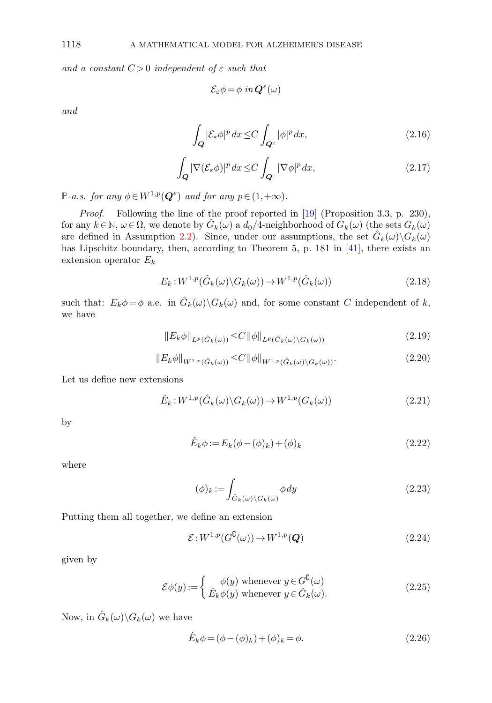and a constant  $C > 0$  independent of  $\varepsilon$  such that

<span id="page-13-4"></span><span id="page-13-3"></span>
$$
\mathcal{E}_{\varepsilon} \phi = \phi \, in \, \mathbf{Q}^{\varepsilon}(\omega)
$$

and

$$
\int_{Q} |\mathcal{E}_{\varepsilon}\phi|^{p} dx \le C \int_{Q^{\varepsilon}} |\phi|^{p} dx,
$$
\n(2.16)

$$
\int_{Q} |\nabla (\mathcal{E}_{\varepsilon} \phi)|^{p} dx \leq C \int_{Q^{\varepsilon}} |\nabla \phi|^{p} dx, \tag{2.17}
$$

**P**-a.s. for any  $\phi \in W^{1,p}(\mathbf{Q}^{\varepsilon})$  and for any  $p \in (1,+\infty)$ .

Proof. Following the line of the proof reported in [\[19\]](#page-28-15) (Proposition 3.3, p. 230), for any  $k \in \mathbb{N}$ ,  $\omega \in \Omega$ , we denote by  $\hat{G}_k(\omega)$  a  $d_0/4$ -neighborhood of  $G_k(\omega)$  (the sets  $G_k(\omega)$ ) are defined in Assumption [2.2\)](#page-12-1). Since, under our assumptions, the set  $\hat{G}_k(\omega)\backslash G_k(\omega)$ has Lipschitz boundary, then, according to Theorem 5, p. 181 in [\[41\]](#page-29-4), there exists an extension operator  $E_k$ 

$$
E_k: W^{1,p}(\hat{G}_k(\omega)\backslash G_k(\omega)) \to W^{1,p}(\hat{G}_k(\omega))
$$
\n(2.18)

such that:  $E_k \phi = \phi$  a.e. in  $\hat{G}_k(\omega) \backslash G_k(\omega)$  and, for some constant C independent of k, we have

<span id="page-13-0"></span>
$$
||E_k \phi||_{L^p(\hat{G}_k(\omega))} \leq C ||\phi||_{L^p(\hat{G}_k(\omega) \setminus G_k(\omega))}
$$
\n(2.19)

$$
||E_k \phi||_{W^{1,p}(\hat{G}_k(\omega))} \leq C ||\phi||_{W^{1,p}(\hat{G}_k(\omega) \setminus G_k(\omega))}.
$$
\n(2.20)

Let us define new extensions

$$
\hat{E}_k : W^{1,p}(\hat{G}_k(\omega) \backslash G_k(\omega)) \to W^{1,p}(G_k(\omega))
$$
\n(2.21)

<span id="page-13-2"></span>by

<span id="page-13-1"></span>
$$
\hat{E}_k \phi := E_k(\phi - (\phi)_k) + (\phi)_k
$$
\n(2.22)

where

$$
(\phi)_k := \int_{\hat{G}_k(\omega) \backslash G_k(\omega)} \phi \, dy \tag{2.23}
$$

Putting them all together, we define an extension

$$
\mathcal{E}: W^{1,p}(G^{\complement}(\omega)) \to W^{1,p}(\mathbf{Q}) \tag{2.24}
$$

given by

$$
\mathcal{E}\phi(y) := \begin{cases} \phi(y) \text{ whenever } y \in G^{\mathbf{C}}(\omega) \\ \hat{E}_k \phi(y) \text{ whenever } y \in \hat{G}_k(\omega). \end{cases}
$$
 (2.25)

Now, in  $\hat{G}_k(\omega) \backslash G_k(\omega)$  we have

$$
\hat{E}_k \phi = (\phi - (\phi)_k) + (\phi)_k = \phi.
$$
\n(2.26)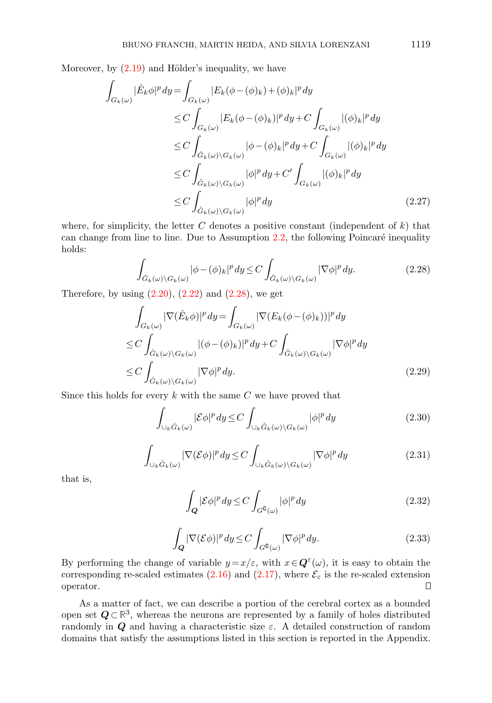Moreover, by  $(2.19)$  and Hölder's inequality, we have

$$
\int_{G_k(\omega)} |\hat{E}_k \phi|^p dy = \int_{G_k(\omega)} |E_k(\phi - (\phi)_k) + (\phi)_k|^p dy
$$
\n
$$
\leq C \int_{G_k(\omega)} |E_k(\phi - (\phi)_k)|^p dy + C \int_{G_k(\omega)} |(\phi)_k|^p dy
$$
\n
$$
\leq C \int_{\hat{G}_k(\omega) \backslash G_k(\omega)} |\phi - (\phi)_k|^p dy + C \int_{G_k(\omega)} |(\phi)_k|^p dy
$$
\n
$$
\leq C \int_{\hat{G}_k(\omega) \backslash G_k(\omega)} |\phi|^p dy + C' \int_{G_k(\omega)} |(\phi)_k|^p dy
$$
\n
$$
\leq C \int_{\hat{G}_k(\omega) \backslash G_k(\omega)} |\phi|^p dy \qquad (2.27)
$$

<span id="page-14-0"></span>where, for simplicity, the letter  $C$  denotes a positive constant (independent of  $k$ ) that can change from line to line. Due to Assumption  $2.2$ , the following Poincaré inequality holds:

$$
\int_{\hat{G}_k(\omega)\backslash G_k(\omega)} |\phi - (\phi)_k|^p \, dy \le C \int_{\hat{G}_k(\omega)\backslash G_k(\omega)} |\nabla \phi|^p \, dy. \tag{2.28}
$$

Therefore, by using  $(2.20)$ ,  $(2.22)$  and  $(2.28)$ , we get

$$
\int_{G_k(\omega)} |\nabla(\hat{E}_k \phi)|^p dy = \int_{G_k(\omega)} |\nabla(E_k(\phi - (\phi)_k))|^p dy
$$
\n
$$
\leq C \int_{\hat{G}_k(\omega) \backslash G_k(\omega)} |(\phi - (\phi)_k)|^p dy + C \int_{\hat{G}_k(\omega) \backslash G_k(\omega)} |\nabla \phi|^p dy
$$
\n
$$
\leq C \int_{\hat{G}_k(\omega) \backslash G_k(\omega)} |\nabla \phi|^p dy. \tag{2.29}
$$

Since this holds for every  $k$  with the same  $C$  we have proved that

$$
\int_{\bigcup_{k} \hat{G}_{k}(\omega)} |\mathcal{E}\phi|^{p} dy \leq C \int_{\bigcup_{k} \hat{G}_{k}(\omega) \setminus G_{k}(\omega)} |\phi|^{p} dy \tag{2.30}
$$

$$
\int_{\bigcup_{k} \hat{G}_{k}(\omega)} |\nabla (\mathcal{E}\phi)|^{p} dy \leq C \int_{\bigcup_{k} \hat{G}_{k}(\omega)\backslash G_{k}(\omega)} |\nabla \phi|^{p} dy \tag{2.31}
$$

that is,

$$
\int_{Q} |\mathcal{E}\phi|^{p} dy \le C \int_{G^{0}(\omega)} |\phi|^{p} dy \qquad (2.32)
$$

$$
\int_{Q} |\nabla (\mathcal{E}\phi)|^p dy \le C \int_{G^{\complement}(\omega)} |\nabla \phi|^p dy. \tag{2.33}
$$

By performing the change of variable  $y = x/\varepsilon$ , with  $x \in \mathbf{Q}^{\varepsilon}(\omega)$ , it is easy to obtain the corresponding re-scaled estimates [\(2.16\)](#page-13-3) and [\(2.17\)](#page-13-4), where  $\mathcal{E}_{\varepsilon}$  is the re-scaled extension operator.  $\Box$ 

As a matter of fact, we can describe a portion of the cerebral cortex as a bounded open set Q⊂**R** 3 , whereas the neurons are represented by a family of holes distributed randomly in  $Q$  and having a characteristic size  $\varepsilon$ . A detailed construction of random domains that satisfy the assumptions listed in this section is reported in the Appendix.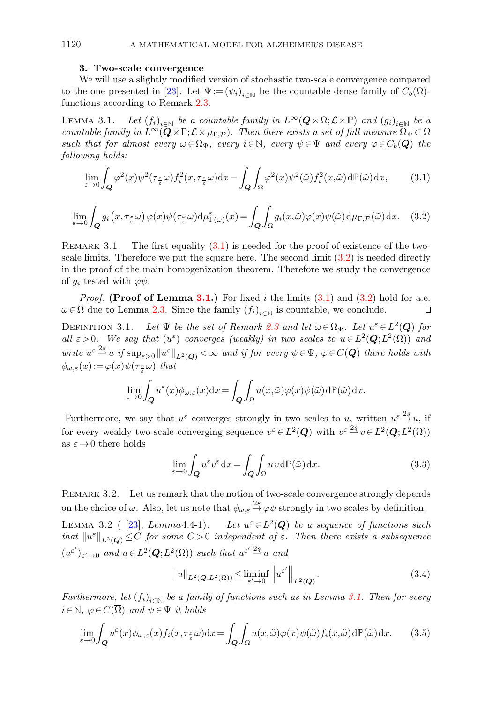#### 1120 A MATHEMATICAL MODEL FOR ALZHEIMER'S DISEASE

#### 3. Two-scale convergence

<span id="page-15-0"></span>We will use a slightly modified version of stochastic two-scale convergence compared to the one presented in [\[23\]](#page-28-13). Let  $\Psi := (\psi_i)_{i \in \mathbb{N}}$  be the countable dense family of  $C_b(\Omega)$ functions according to Remark [2.3.](#page-11-1)

<span id="page-15-3"></span>LEMMA 3.1. Let  $(f_i)_{i\in\mathbb{N}}$  be a countable family in  $L^{\infty}(\mathbf{Q}\times\Omega;\mathcal{L}\times\mathbb{P})$  and  $(g_i)_{i\in\mathbb{N}}$  be a countable family in  $L^{\infty}(\mathbf{Q}\times\Gamma;\mathcal{L}\times\mu_{\Gamma,P})$ . Then there exists a set of full measure  $\Omega_{\Psi}\subset\Omega$ such that for almost every  $\omega \in \Omega_{\Psi}$ , every  $i \in \mathbb{N}$ , every  $\psi \in \Psi$  and every  $\varphi \in C_b(\overline{\mathbf{Q}})$  the following holds:

<span id="page-15-1"></span>
$$
\lim_{\varepsilon \to 0} \int_{\mathbf{Q}} \varphi^2(x) \psi^2(\tau_{\frac{x}{\varepsilon}} \omega) f_i^2(x, \tau_{\frac{x}{\varepsilon}} \omega) dx = \int_{\mathbf{Q}} \int_{\Omega} \varphi^2(x) \psi^2(\tilde{\omega}) f_i^2(x, \tilde{\omega}) d\mathbb{P}(\tilde{\omega}) dx, \tag{3.1}
$$

<span id="page-15-2"></span>
$$
\lim_{\varepsilon \to 0} \int_{\mathbf{Q}} g_i(x, \tau_{\frac{x}{\varepsilon}} \omega) \varphi(x) \psi(\tau_{\frac{x}{\varepsilon}} \omega) d\mu_{\Gamma(\omega)}^{\varepsilon}(x) = \int_{\mathbf{Q}} \int_{\Omega} g_i(x, \tilde{\omega}) \varphi(x) \psi(\tilde{\omega}) d\mu_{\Gamma, \mathcal{P}}(\tilde{\omega}) dx. \tag{3.2}
$$

REMARK 3.1. The first equality  $(3.1)$  is needed for the proof of existence of the twoscale limits. Therefore we put the square here. The second limit [\(3.2\)](#page-15-2) is needed directly in the proof of the main homogenization theorem. Therefore we study the convergence of  $g_i$  tested with  $\varphi \psi$ .

*Proof.* (Proof of Lemma [3.1.](#page-15-3)) For fixed i the limits  $(3.1)$  and  $(3.2)$  hold for a.e.  $\omega \in \Omega$  due to Lemma [2.3.](#page-10-3) Since the family  $(f_i)_{i \in \mathbb{N}}$  is countable, we conclude.  $\Box$ 

<span id="page-15-6"></span>DEFINITION 3.1. Let  $\Psi$  be the set of Remark [2.3](#page-11-1) and let  $\omega \in \Omega_{\Psi}$ . Let  $u^{\varepsilon} \in L^2(Q)$  for all  $\varepsilon > 0$ . We say that  $(u^{\varepsilon})$  converges (weakly) in two scales to  $u \in L^2(Q; L^2(\Omega))$  and write  $u^{\varepsilon} \stackrel{2s}{\sim} u$  if  $\sup_{\varepsilon>0} \|u^{\varepsilon}\|_{L^2(Q)} < \infty$  and if for every  $\psi \in \Psi$ ,  $\varphi \in C(\overline{Q})$  there holds with  $\phi_{\omega,\varepsilon}(x) := \varphi(x)\psi(\tau_{\frac{x}{\varepsilon}}\omega)$  that

$$
\lim_{\varepsilon \to 0} \int_{\mathbf{Q}} u^{\varepsilon}(x) \phi_{\omega,\varepsilon}(x) dx = \int_{\mathbf{Q}} \int_{\Omega} u(x,\tilde{\omega}) \varphi(x) \psi(\tilde{\omega}) d\mathbb{P}(\tilde{\omega}) dx.
$$

Furthermore, we say that  $u^{\varepsilon}$  converges strongly in two scales to u, written  $u^{\varepsilon} \stackrel{2s}{\rightarrow} u$ , if for every weakly two-scale converging sequence  $v^{\varepsilon} \in L^2(Q)$  with  $v^{\varepsilon} \stackrel{2s}{\longrightarrow} v \in L^2(Q; L^2(\Omega))$ as  $\varepsilon \to 0$  there holds

$$
\lim_{\varepsilon \to 0} \int_{\mathbf{Q}} u^{\varepsilon} v^{\varepsilon} \, dx = \int_{\mathbf{Q}} \int_{\Omega} u v \, d\mathbb{P}(\tilde{\omega}) \, dx. \tag{3.3}
$$

Remark 3.2. Let us remark that the notion of two-scale convergence strongly depends on the choice of  $\omega$ . Also, let us note that  $\phi_{\omega,\varepsilon} \stackrel{2s}{\rightarrow} \varphi \psi$  strongly in two scales by definition.

<span id="page-15-5"></span>LEMMA 3.2 ( [\[23\]](#page-28-13), Lemma 4.4-1). Let  $u^{\varepsilon} \in L^2(Q)$  be a sequence of functions such that  $||u^{\varepsilon}||_{L^2(Q)} \leq C$  for some  $C > 0$  independent of  $\varepsilon$ . Then there exists a subsequence  $(u^{\varepsilon'})_{\varepsilon'\to 0}$  and  $u \in L^2(\mathbf{Q}; L^2(\Omega))$  such that  $u^{\varepsilon'} \stackrel{2s}{\rightharpoonup} u$  and

<span id="page-15-4"></span>
$$
||u||_{L^{2}(\mathbf{Q};L^{2}(\Omega))} \leq \liminf_{\varepsilon' \to 0} \left||u^{\varepsilon'}\right||_{L^{2}(\mathbf{Q})}.
$$
\n(3.4)

Furthermore, let  $(f_i)_{i\in\mathbb{N}}$  be a family of functions such as in Lemma [3.1.](#page-15-3) Then for every  $i \in \mathbb{N}, \varphi \in C(\overline{\Omega})$  and  $\psi \in \Psi$  it holds

$$
\lim_{\varepsilon \to 0} \int_{\mathbf{Q}} u^{\varepsilon}(x) \phi_{\omega,\varepsilon}(x) f_i(x, \tau_{\frac{x}{\varepsilon}} \omega) dx = \int_{\mathbf{Q}} \int_{\Omega} u(x, \tilde{\omega}) \varphi(x) \psi(\tilde{\omega}) f_i(x, \tilde{\omega}) d\mathbb{P}(\tilde{\omega}) dx.
$$
 (3.5)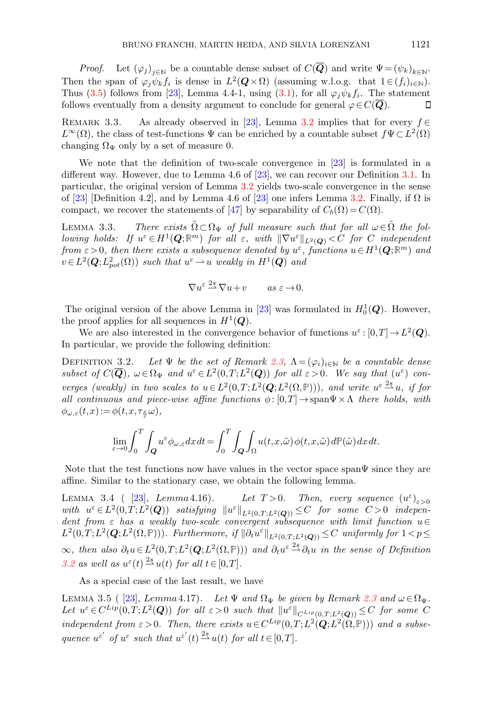*Proof.* Let  $(\varphi_j)_{j \in \mathbb{N}}$  be a countable dense subset of  $C(\overline{Q})$  and write  $\Psi = (\psi_k)_{k \in \mathbb{N}}$ . Then the span of  $\varphi_j \psi_k f_i$  is dense in  $L^2(Q \times \Omega)$  (assuming w.l.o.g. that  $1 \in (f_i)_{i \in \mathbb{N}}$ ). Thus [\(3.5\)](#page-15-4) follows from [\[23\]](#page-28-13), Lemma 4.4-1, using [\(3.1\)](#page-15-1), for all  $\varphi_j \psi_k f_i$ . The statement follows eventually from a density argument to conclude for general  $\varphi \in C(Q)$ . □

<span id="page-16-1"></span>REMARK 3.3. As already observed in [\[23\]](#page-28-13), Lemma [3.2](#page-15-5) implies that for every  $f \in$  $L^{\infty}(\Omega)$ , the class of test-functions  $\Psi$  can be enriched by a countable subset  $f\Psi \subset L^{2}(\Omega)$ changing  $\Omega_{\Psi}$  only by a set of measure 0.

We note that the definition of two-scale convergence in [\[23\]](#page-28-13) is formulated in a different way. However, due to Lemma 4.6 of [\[23\]](#page-28-13), we can recover our Definition [3.1.](#page-15-6) In particular, the original version of Lemma [3.2](#page-15-5) yields two-scale convergence in the sense of [\[23\]](#page-28-13) [Definition 4.2], and by Lemma 4.6 of [23] one infers Lemma [3.2.](#page-15-5) Finally, if  $\Omega$  is compact, we recover the statements of [\[47\]](#page-29-3) by separability of  $C_b(\Omega) = C(\Omega)$ .

<span id="page-16-2"></span>LEMMA 3.3. There exists  $\tilde{\Omega} \subset \Omega_{\Psi}$  of full measure such that for all  $\omega \in \tilde{\Omega}$  the following holds: If  $u^{\varepsilon} \in H^1(Q;\mathbb{R}^m)$  for all  $\varepsilon$ , with  $\|\nabla u^{\varepsilon}\|_{L^2(Q)} < C$  for C independent from  $\varepsilon > 0$ , then there exists a subsequence denoted by  $u^{\varepsilon}$ , functions  $u \in H^{1}(\mathbf{Q};\mathbb{R}^{m})$  and  $v \in L^2(\mathbf{Q}; L^2_{pot}(\Omega))$  such that  $u^{\varepsilon} \to u$  weakly in  $H^1(\mathbf{Q})$  and

$$
\nabla u^{\varepsilon} \stackrel{2s}{\rightharpoonup} \nabla u + v \qquad \text{as } \varepsilon \to 0.
$$

The original version of the above Lemma in [\[23\]](#page-28-13) was formulated in  $H_0^1(\mathbf{Q})$ . However, the proof applies for all sequences in  $H^1(\mathbf{Q})$ .

We are also interested in the convergence behavior of functions  $u^{\varepsilon}:[0,T] \to L^2(Q)$ . In particular, we provide the following definition:

<span id="page-16-0"></span>DEFINITION 3.2. Let  $\Psi$  be the set of Remark [2.3,](#page-11-1)  $\Lambda = (\varphi_i)_{i \in \mathbb{N}}$  be a countable dense subset of  $C(\overline{Q})$ ,  $\omega \in \Omega_{\Psi}$  and  $u^{\varepsilon} \in L^2(0,T;L^2(Q))$  for all  $\varepsilon > 0$ . We say that  $(u^{\varepsilon})$  converges (weakly) in two scales to  $u \in L^2(0,T;L^2(\mathbf{Q};L^2(\Omega,\mathbb{P}))),$  and write  $u^{\varepsilon} \stackrel{2s}{\longrightarrow} u$ , if for all continuous and piece-wise affine functions  $\phi: [0,T] \to \text{span}\Psi \times \Lambda$  there holds, with  $\phi_{\omega,\varepsilon}(t,x) := \phi(t,x,\tau_{\frac{x}{\varepsilon}}\omega),$ 

$$
\lim_{\varepsilon \to 0} \int_0^T \int_Q u^{\varepsilon} \phi_{\omega, \varepsilon} dx dt = \int_0^T \int_Q \int_\Omega u(t, x, \tilde{\omega}) \phi(t, x, \tilde{\omega}) d\mathbb{P}(\tilde{\omega}) dx dt.
$$

Note that the test functions now have values in the vector space span $\Psi$  since they are affine. Similar to the stationary case, we obtain the following lemma.

<span id="page-16-3"></span>LEMMA 3.4 (  $[23]$ , Lemma 4.16). Let  $T>0$ . Then, every sequence  $(u^{\varepsilon})_{\varepsilon>0}$ with  $u^{\varepsilon} \in L^2(0,T;L^2(\boldsymbol{Q}))$  satisfying  $||u^{\varepsilon}||_{L^2(0,T;L^2(\boldsymbol{Q}))} \leq C$  for some  $C > 0$  independent from  $\varepsilon$  has a weakly two-scale convergent subsequence with limit function  $u \in$  $L^2(0,T;L^2(\mathbf{Q};L^2(\Omega,\mathbb{P})))$ . Furthermore, if  $\|\partial_t u^{\varepsilon}\|_{L^2(0,T;L^2(\mathbf{Q}))} \leq C$  uniformly for  $1 < p \leq C$  $\infty$ , then also  $\partial_t u \in L^2(0,T;L^2(\mathbf{Q};L^2(\Omega,\mathbb{P})))$  and  $\partial_t u^{\varepsilon} \stackrel{2s}{\longrightarrow} \partial_t u$  in the sense of Definition [3.2](#page-16-0) as well as  $u^{\varepsilon}(t) \stackrel{2s}{\longrightarrow} u(t)$  for all  $t \in [0,T]$ .

As a special case of the last result, we have

<span id="page-16-4"></span>LEMMA 3.5 ( [\[23\]](#page-28-13), Lemma 4.17). Let  $\Psi$  and  $\Omega_{\Psi}$  be given by Remark [2.3](#page-11-1) and  $\omega \in \Omega_{\Psi}$ . Let  $u^{\varepsilon} \in C^{Lip}(0,T;L^2(\boldsymbol{Q}))$  for all  $\varepsilon > 0$  such that  $||u^{\varepsilon}||_{C^{Lip}(0,T;L^2(\boldsymbol{Q}))} \leq C$  for some C independent from  $\varepsilon > 0$ . Then, there exists  $u \in C^{Lip}(0,T;L^2(\mathbf{Q};L^2(\Omega,\mathbb{P})))$  and a subsequence  $u^{\varepsilon'}$  of  $u^{\varepsilon}$  such that  $u^{\varepsilon'}(t) \stackrel{2s}{\rightharpoonup} u(t)$  for all  $t \in [0,T]$ .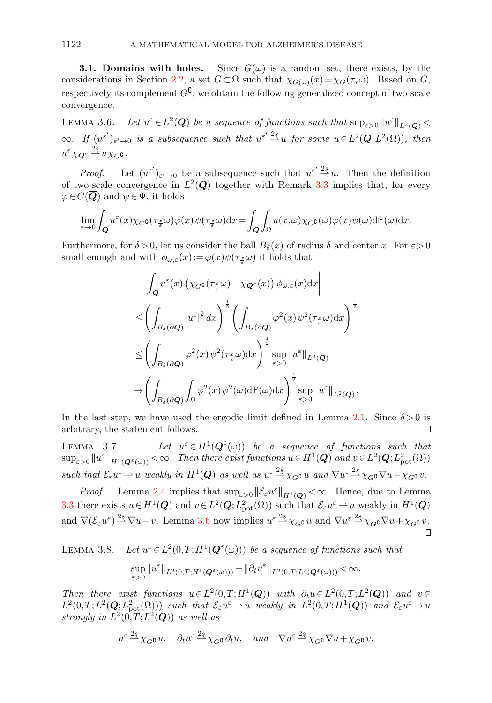**3.1. Domains with holes.** Since  $G(\omega)$  is a random set, there exists, by the considerations in Section [2.2,](#page-11-0) a set  $G \subset \Omega$  such that  $\chi_{G(\omega)}(x) = \chi_G(\tau_x \omega)$ . Based on G, respectively its complement  $G^{\complement}$ , we obtain the following generalized concept of two-scale convergence.

<span id="page-17-0"></span>LEMMA 3.6. Let  $u^{\varepsilon} \in L^2(Q)$  be a sequence of functions such that  $\sup_{\varepsilon>0} ||u^{\varepsilon}||_{L^2(Q)}$  $\infty$ . If  $(u^{\varepsilon'})_{\varepsilon' \to 0}$  is a subsequence such that  $u^{\varepsilon'} \stackrel{2s}{\to} u$  for some  $u \in L^2(Q; L^2(\Omega))$ , then  $u^{\varepsilon} \chi_{\mathbf{Q}^{\varepsilon}} \stackrel{2s}{\rightharpoonup} u \chi_{G} \mathfrak{o}$  .

*Proof.* Let  $(u^{\varepsilon'})_{\varepsilon' \to 0}$  be a subsequence such that  $u^{\varepsilon'} \stackrel{2s}{\to} u$ . Then the definition of two-scale convergence in  $L^2(Q)$  together with Remark [3.3](#page-16-1) implies that, for every  $\varphi \in C(Q)$  and  $\psi \in \Psi$ , it holds

$$
\lim_{\varepsilon \to 0} \int_{\mathbf{Q}} u^{\varepsilon}(x) \chi_{G^{\mathbf{G}}}(\tau_{\frac{x}{\varepsilon}} \omega) \varphi(x) \psi(\tau_{\frac{x}{\varepsilon}} \omega) dx = \int_{\mathbf{Q}} \int_{\Omega} u(x, \tilde{\omega}) \chi_{G^{\mathbf{G}}}(\tilde{\omega}) \varphi(x) \psi(\tilde{\omega}) d\mathbb{P}(\tilde{\omega}) dx.
$$

Furthermore, for  $\delta > 0$ , let us consider the ball  $B_{\delta}(x)$  of radius  $\delta$  and center x. For  $\varepsilon > 0$ small enough and with  $\phi_{\omega,\varepsilon}(x) := \varphi(x) \psi(\tau_{\frac{x}{\varepsilon}}\omega)$  it holds that

$$
\left| \int_{\mathbf{Q}} u^{\varepsilon}(x) \left( \chi_{G^{\complement}}(\tau_{\frac{x}{\varepsilon}} \omega) - \chi_{\mathbf{Q}^{\varepsilon}}(x) \right) \phi_{\omega, \varepsilon}(x) dx \right|
$$
  
\n
$$
\leq \left( \int_{B_{\delta}(\partial \mathbf{Q})} |u^{\varepsilon}|^{2} dx \right)^{\frac{1}{2}} \left( \int_{B_{\delta}(\partial \mathbf{Q})} \varphi^{2}(x) \psi^{2}(\tau_{\frac{x}{\varepsilon}} \omega) dx \right)^{\frac{1}{2}}
$$
  
\n
$$
\leq \left( \int_{B_{\delta}(\partial \mathbf{Q})} \varphi^{2}(x) \psi^{2}(\tau_{\frac{x}{\varepsilon}} \omega) dx \right)^{\frac{1}{2}} \sup_{\varepsilon > 0} ||u^{\varepsilon}||_{L^{2}(\mathbf{Q})}
$$
  
\n
$$
\to \left( \int_{B_{\delta}(\partial \mathbf{Q})} \int_{\Omega} \varphi^{2}(x) \psi^{2}(\omega) d\mathbb{P}(\omega) dx \right)^{\frac{1}{2}} \sup_{\varepsilon > 0} ||u^{\varepsilon}||_{L^{2}(\mathbf{Q})}.
$$

In the last step, we have used the ergodic limit defined in Lemma [2.1.](#page-10-4) Since  $\delta > 0$  is arbitrary, the statement follows.  $\Box$ 

LEMMA  $3.7$ .  $\epsilon \in H^1(\mathbf{Q}^{\epsilon}(\omega))$  be a sequence of functions such that  $\sup_{\varepsilon>0}||u^{\varepsilon}||_{H^{1}(\mathbf{Q}^{\varepsilon}(\omega))}<\infty$ . Then there exist functions  $u\in H^{1}(\mathbf{Q})$  and  $v\in L^{2}(\mathbf{Q};L_{\text{pot}}^{2}(\Omega))$ such that  $\mathcal{E}_{\varepsilon}u^{\varepsilon} \rightharpoonup u$  weakly in  $H^{1}(\mathbf{Q})$  as well as  $u^{\varepsilon} \stackrel{2s}{\rightharpoonup} \chi_{G}v$  and  $\nabla u^{\varepsilon} \stackrel{2s}{\rightharpoonup} \chi_{G}v \nabla u + \chi_{G}v$ .

*Proof.* Lemma [2.4](#page-12-2) implies that  $\sup_{\varepsilon>0} ||\mathcal{E}_{\varepsilon}u^{\varepsilon}||_{H^1(Q)} < \infty$ . Hence, due to Lemma [3.3](#page-16-2) there exists  $u \in H^1(Q)$  and  $v \in L^2(Q; L^2_{pot}(\Omega))$  such that  $\mathcal{E}_{\varepsilon}u^{\varepsilon} \to u$  weakly in  $H^1(Q)$ and  $\nabla (\mathcal{E}_{\varepsilon} u^{\varepsilon}) \stackrel{2s}{\sim} \nabla u + v$ . Lemma [3.6](#page-17-0) now implies  $u^{\varepsilon} \stackrel{2s}{\sim} \chi_{G} \mathfrak{e} u$  and  $\nabla u^{\varepsilon} \stackrel{2s}{\sim} \chi_{G} \mathfrak{e} \nabla u + \chi_{G} \mathfrak{e} v$ .

<span id="page-17-1"></span>LEMMA 3.8. Let  $u^{\varepsilon} \in L^2(0,T;H^1(\mathbf{Q}^{\varepsilon}(\omega)))$  be a sequence of functions such that

$$
\sup_{\varepsilon>0}\|u^\varepsilon\|_{L^2(0,T;H^1({\bold Q}^\varepsilon(\omega)))}+\|\partial_t u^\varepsilon\|_{L^2(0,T;L^2({\bold Q}^\varepsilon(\omega)))}<\infty.
$$

Then there exist functions  $u \in L^2(0,T;H^1(Q))$  with  $\partial_t u \in L^2(0,T;L^2(Q))$  and  $v \in$  $L^2(0,T;L^2(\mathbf{Q};L^2_{pot}(\Omega)))$  such that  $\mathcal{E}_{\varepsilon}u^{\varepsilon} \to u$  weakly in  $L^2(0,T;H^1(\mathbf{Q}))$  and  $\mathcal{E}_{\varepsilon}u^{\varepsilon} \to u$ strongly in  $L^2(0,T;L^2(Q))$  as well as

$$
u^{\varepsilon} \stackrel{2s}{\longrightarrow} \chi_{G^{\mathbb{G}}} u
$$
,  $\partial_t u^{\varepsilon} \stackrel{2s}{\longrightarrow} \chi_{G^{\mathbb{G}}} \partial_t u$ , and  $\nabla u^{\varepsilon} \stackrel{2s}{\longrightarrow} \chi_{G^{\mathbb{G}}} \nabla u + \chi_{G^{\mathbb{G}}} v$ .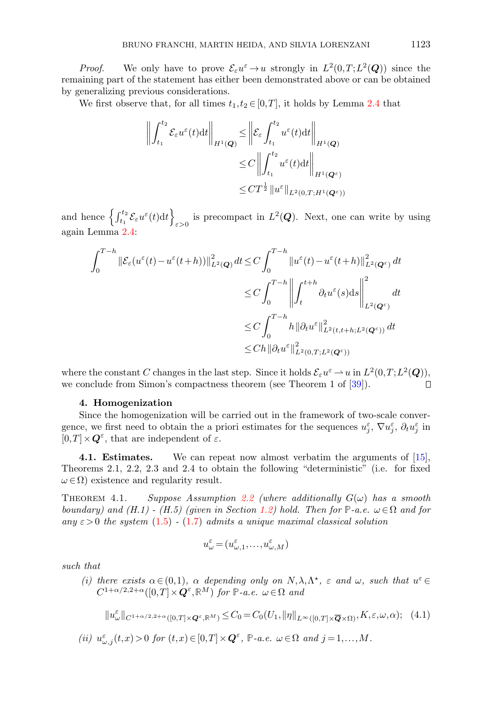*Proof.* We only have to prove  $\mathcal{E}_{\varepsilon}u^{\varepsilon} \to u$  strongly in  $L^2(0,T;L^2(\mathbf{Q}))$  since the remaining part of the statement has either been demonstrated above or can be obtained by generalizing previous considerations.

We first observe that, for all times  $t_1, t_2 \in [0,T]$ , it holds by Lemma [2.4](#page-12-2) that

$$
\left\| \int_{t_1}^{t_2} \mathcal{E}_{\varepsilon} u^{\varepsilon}(t) dt \right\|_{H^1(\mathbf{Q})} \leq \left\| \mathcal{E}_{\varepsilon} \int_{t_1}^{t_2} u^{\varepsilon}(t) dt \right\|_{H^1(\mathbf{Q})}
$$
  

$$
\leq C \left\| \int_{t_1}^{t_2} u^{\varepsilon}(t) dt \right\|_{H^1(\mathbf{Q}^{\varepsilon})}
$$
  

$$
\leq C T^{\frac{1}{2}} \| u^{\varepsilon} \|_{L^2(0,T;H^1(\mathbf{Q}^{\varepsilon}))}
$$

and hence  $\left\{ \int_{t_1}^{t_2} \mathcal{E}_{\varepsilon} u^{\varepsilon}(t) dt \right\}$ is precompact in  $L^2(Q)$ . Next, one can write by using again Lemma [2.4:](#page-12-2)

$$
\int_{0}^{T-h} \|\mathcal{E}_{\varepsilon}(u^{\varepsilon}(t) - u^{\varepsilon}(t+h))\|_{L^{2}(\mathbf{Q})}^{2} dt \leq C \int_{0}^{T-h} \|u^{\varepsilon}(t) - u^{\varepsilon}(t+h)\|_{L^{2}(\mathbf{Q}^{\varepsilon})}^{2} dt
$$
  

$$
\leq C \int_{0}^{T-h} \left\| \int_{t}^{t+h} \partial_{t} u^{\varepsilon}(s) ds \right\|_{L^{2}(\mathbf{Q}^{\varepsilon})}^{2} dt
$$
  

$$
\leq C \int_{0}^{T-h} h \|\partial_{t} u^{\varepsilon}\|_{L^{2}(t,t+h;L^{2}(\mathbf{Q}^{\varepsilon}))}^{2} dt
$$
  

$$
\leq C h \|\partial_{t} u^{\varepsilon}\|_{L^{2}(0,T;L^{2}(\mathbf{Q}^{\varepsilon}))}^{2}
$$

where the constant C changes in the last step. Since it holds  $\mathcal{E}_{\varepsilon}u^{\varepsilon} \to u$  in  $L^2(0,T;L^2(\mathbf{Q})),$ we conclude from Simon's compactness theorem (see Theorem 1 of [\[39\]](#page-28-16)). П

### 4. Homogenization

<span id="page-18-0"></span>Since the homogenization will be carried out in the framework of two-scale convergence, we first need to obtain the a priori estimates for the sequences  $u_j^{\varepsilon}$ ,  $\nabla u_j^{\varepsilon}$ ,  $\partial_t u_j^{\varepsilon}$  in  $[0,T] \times \mathbf{Q}^{\varepsilon}$ , that are independent of  $\varepsilon$ .

<span id="page-18-2"></span>4.1. Estimates. We can repeat now almost verbatim the arguments of [\[15\]](#page-28-8), Theorems 2.1, 2.2, 2.3 and 2.4 to obtain the following "deterministic" (i.e. for fixed  $\omega \in \Omega$ ) existence and regularity result.

<span id="page-18-1"></span>THEOREM 4.1. Suppose Assumption [2.2](#page-12-1) (where additionally  $G(\omega)$  has a smooth boundary) and  $(H.1)$  -  $(H.5)$  (given in Section [1.2\)](#page-3-2) hold. Then for  $\mathbb{P}\text{-}a.e.$   $\omega \in \Omega$  and for any  $\varepsilon > 0$  the system [\(1.5\)](#page-3-1) - [\(1.7\)](#page-4-0) admits a unique maximal classical solution

<span id="page-18-3"></span>
$$
u_\omega^\varepsilon\!=\!(u_{\omega,1}^\varepsilon,\!\ldots\!,u_{\omega,M}^\varepsilon)
$$

such that

(i) there exists  $\alpha \in (0,1)$ ,  $\alpha$  depending only on  $N, \lambda, \Lambda^*$ ,  $\varepsilon$  and  $\omega$ , such that  $u^{\varepsilon} \in$  $C^{1+\alpha/2,2+\alpha}([0,T]\times\mathbf{Q}^{\varepsilon},\mathbb{R}^M)$  for  $\mathbb{P}\text{-}a.e.$   $\omega \in \Omega$  and

$$
||u^{\varepsilon}_{\omega}||_{C^{1+\alpha/2,2+\alpha}([0,T]\times \mathbf{Q}^{\varepsilon},\mathbb{R}^M)} \leq C_0 = C_0(U_1, ||\eta||_{L^{\infty}([0,T]\times \overline{\mathbf{Q}} \times \Omega)}, K, \varepsilon, \omega, \alpha); \quad (4.1)
$$

(ii)  $u^{\varepsilon}_{\omega,j}(t,x) > 0$  for  $(t,x) \in [0,T] \times \mathbf{Q}^{\varepsilon}$ , **P**-a.e.  $\omega \in \Omega$  and  $j = 1,...,M$ .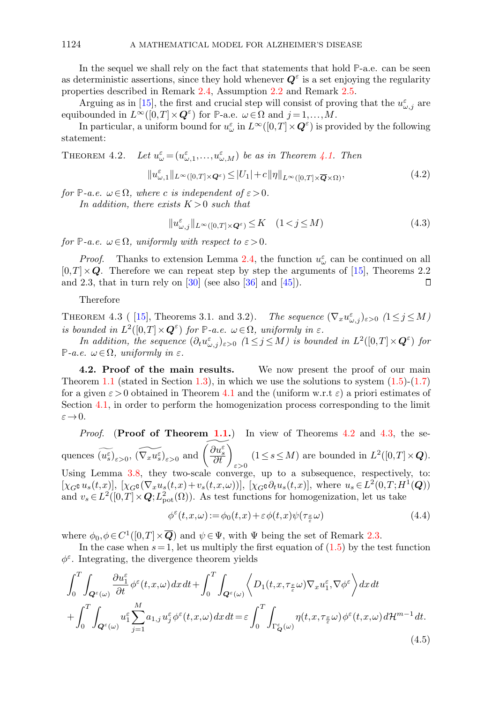In the sequel we shall rely on the fact that statements that hold **P**-a.e. can be seen as deterministic assertions, since they hold whenever  $Q^{\varepsilon}$  is a set enjoying the regularity properties described in Remark [2.4,](#page-12-3) Assumption [2.2](#page-12-1) and Remark [2.5.](#page-12-4)

Arguing as in [\[15\]](#page-28-8), the first and crucial step will consist of proving that the  $u^{\varepsilon}_{\omega,j}$  are equibounded in  $L^{\infty}([0,T] \times \mathbf{Q}^{\varepsilon})$  for **P**-a.e.  $\omega \in \Omega$  and  $j = 1, ..., M$ .

In particular, a uniform bound for  $u^{\varepsilon}_{\omega}$  in  $L^{\infty}([0,T] \times \mathbf{Q}^{\varepsilon})$  is provided by the following statement:

<span id="page-19-0"></span>THEOREM 4.2. Let 
$$
u_{\omega}^{\varepsilon} = (u_{\omega,1}^{\varepsilon},...,u_{\omega,M}^{\varepsilon})
$$
 be as in Theorem 4.1. Then

$$
||u^{\varepsilon}_{\omega,1}||_{L^{\infty}([0,T]\times\mathbf{Q}^{\varepsilon})} \leq |U_1|+c||\eta||_{L^{\infty}([0,T]\times\overline{\mathbf{Q}}\times\Omega)},
$$
\n(4.2)

for  $\mathbb{P}\text{-}a.e. \omega \in \Omega$ , where c is independent of  $\varepsilon > 0$ .

In addition, there exists  $K > 0$  such that

<span id="page-19-2"></span>
$$
||u_{\omega,j}^{\varepsilon}||_{L^{\infty}([0,T]\times\mathbf{Q}^{\varepsilon})} \leq K \quad (1 < j \leq M)
$$
\n(4.3)

for  $\mathbb{P}\text{-}a.e.$   $\omega \in \Omega$ , uniformly with respect to  $\varepsilon > 0$ .

*Proof.* Thanks to extension Lemma [2.4,](#page-12-2) the function  $u^{\varepsilon}_{\omega}$  can be continued on all  $[0,T] \times Q$ . Therefore we can repeat step by step the arguments of [\[15\]](#page-28-8), Theorems 2.2 and 2.3, that in turn rely on  $[30]$  (see also  $[36]$  and  $[45]$ ).  $\Box$ 

Therefore

<span id="page-19-1"></span>THEOREM 4.3 ( [\[15\]](#page-28-8), Theorems 3.1. and 3.2). The sequence  $(\nabla_x u_{\omega,j}^{\varepsilon})_{\varepsilon>0}$   $(1 \le j \le M)$ is bounded in  $L^2([0,T] \times \mathbf{Q}^{\varepsilon})$  for  $\mathbb{P}\text{-}a.e.$   $\omega \in \Omega$ , uniformly in  $\varepsilon$ .

In addition, the sequence  $(\partial_t u_{\omega,j}^{\varepsilon})_{\varepsilon>0}$  ( $1\leq j\leq M$ ) is bounded in  $L^2([0,T]\times\mathbf{Q}^{\varepsilon})$  for **P**-*a.e.*  $ω ∈ Ω$ , *uniformly in ε.* 

4.2. Proof of the main results. We now present the proof of our main Theorem [1.1](#page-5-0) (stated in Section [1.3\)](#page-5-1), in which we use the solutions to system  $(1.5)-(1.7)$  $(1.5)-(1.7)$ for a given  $\varepsilon > 0$  obtained in Theorem [4.1](#page-18-1) and the (uniform w.r.t  $\varepsilon$ ) a priori estimates of Section [4.1,](#page-18-2) in order to perform the homogenization process corresponding to the limit  $\varepsilon \rightarrow 0$ .

*Proof.* (Proof of Theorem [1.1.](#page-5-0)) In view of Theorems  $4.2$  and  $4.3$ , the sequences  $\widetilde{(u_s^{\varepsilon})}_{\varepsilon>0}$ ,  $\widetilde{(\nabla_x u_s^{\varepsilon})}_{\varepsilon>0}$  and  $\widetilde{\left(\frac{\partial u_s^{\varepsilon}}{\partial t}\right)}_{\varepsilon>0}$  $(1 \leq s \leq M)$  are bounded in  $L^2([0,T] \times Q)$ .

Using Lemma [3.8,](#page-17-1) they two-scale converge, up to a subsequence, respectively, to:  $[\chi_{G^{\complement}} u_s(t,x)], [\chi_{G^{\complement}} (\nabla_x u_s(t,x)+v_s(t,x,\omega))], [\chi_{G^{\complement}} \partial_t u_s(t,x)],$  where  $u_s \in L^2(0,T;H^1(\mathbf{Q}))$ and  $v_s \in L^2([0,T] \times \mathbf{Q}; L^2_{\text{pot}}(\Omega))$ . As test functions for homogenization, let us take

$$
\phi^{\varepsilon}(t, x, \omega) := \phi_0(t, x) + \varepsilon \phi(t, x)\psi(\tau_{\frac{x}{\varepsilon}}\omega)
$$
\n(4.4)

where  $\phi_0, \phi \in C^1([0,T] \times \overline{Q})$  and  $\psi \in \Psi$ , with  $\Psi$  being the set of Remark [2.3.](#page-11-1)

In the case when  $s = 1$ , let us multiply the first equation of  $(1.5)$  by the test function  $\phi^{\varepsilon}$ . Integrating, the divergence theorem yields

$$
\int_{0}^{T} \int_{\mathbf{Q}^{\varepsilon}(\omega)} \frac{\partial u_{1}^{\varepsilon}}{\partial t} \phi^{\varepsilon}(t, x, \omega) dx dt + \int_{0}^{T} \int_{\mathbf{Q}^{\varepsilon}(\omega)} \left\langle D_{1}(t, x, \tau_{\frac{x}{\varepsilon}} \omega) \nabla_{x} u_{1}^{\varepsilon}, \nabla \phi^{\varepsilon} \right\rangle dx dt + \int_{0}^{T} \int_{\mathbf{Q}^{\varepsilon}(\omega)} u_{1}^{\varepsilon} \sum_{j=1}^{M} a_{1,j} u_{j}^{\varepsilon} \phi^{\varepsilon}(t, x, \omega) dx dt = \varepsilon \int_{0}^{T} \int_{\Gamma_{\mathbf{Q}}^{\varepsilon}(\omega)} \eta(t, x, \tau_{\frac{x}{\varepsilon}} \omega) \phi^{\varepsilon}(t, x, \omega) d\mathcal{H}^{m-1} dt.
$$
\n(4.5)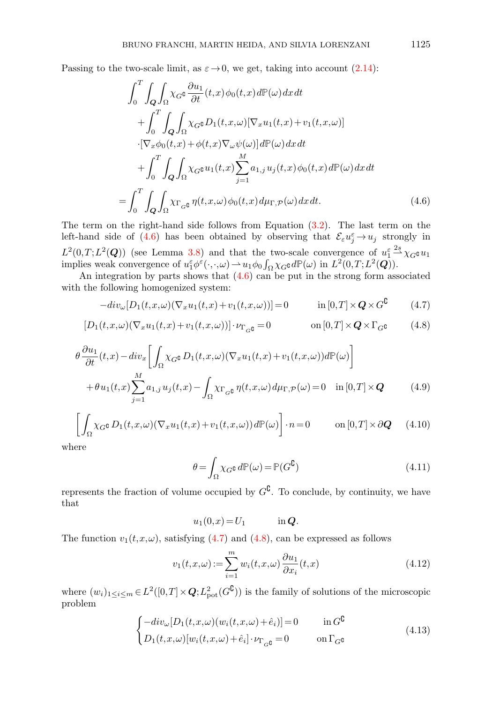Passing to the two-scale limit, as  $\varepsilon \to 0$ , we get, taking into account [\(2.14\)](#page-11-2):

<span id="page-20-0"></span>
$$
\int_{0}^{T} \int_{Q} \int_{\Omega} \chi_{G} \mathfrak{e} \frac{\partial u_{1}}{\partial t}(t,x) \phi_{0}(t,x) d\mathbb{P}(\omega) dx dt \n+ \int_{0}^{T} \int_{Q} \int_{\Omega} \chi_{G} \mathfrak{e} D_{1}(t,x,\omega) [\nabla_{x} u_{1}(t,x) + v_{1}(t,x,\omega)] \n\cdot [\nabla_{x} \phi_{0}(t,x) + \phi(t,x) \nabla_{\omega} \psi(\omega)] d\mathbb{P}(\omega) dx dt \n+ \int_{0}^{T} \int_{Q} \int_{\Omega} \chi_{G} \mathfrak{e} u_{1}(t,x) \sum_{j=1}^{M} a_{1,j} u_{j}(t,x) \phi_{0}(t,x) d\mathbb{P}(\omega) dx dt \n= \int_{0}^{T} \int_{Q} \int_{\Omega} \chi_{\Gamma_{G} \mathfrak{e}} \eta(t,x,\omega) \phi_{0}(t,x) d\mu_{\Gamma, \mathcal{P}}(\omega) dx dt.
$$
\n(4.6)

The term on the right-hand side follows from Equation [\(3.2\)](#page-15-2). The last term on the left-hand side of [\(4.6\)](#page-20-0) has been obtained by observing that  $\mathcal{E}_{\varepsilon} u_j^{\varepsilon} \to u_j$  strongly in  $L^2(0,T;L^2(Q))$  (see Lemma [3.8\)](#page-17-1) and that the two-scale convergence of  $u_1^{\varepsilon} \stackrel{2s}{\longrightarrow} \chi_{G} \mathfrak{u}_1$ implies weak convergence of  $u_1^{\varepsilon} \phi^{\varepsilon}(\cdot, \cdot, \omega) \to u_1 \phi_0 \int_{\Omega} \chi_{G} \mathfrak{d} \mathbb{P}(\omega)$  in  $L^2(0,T;L^2(\mathbf{Q}))$ .

An integration by parts shows that  $(4.6)$  can be put in the strong form associated with the following homogenized system:

$$
-div_{\omega}[D_1(t, x, \omega)(\nabla_x u_1(t, x) + v_1(t, x, \omega))] = 0 \qquad \text{in } [0, T] \times Q \times G^{\complement} \tag{4.7}
$$

$$
[D_1(t, x, \omega)(\nabla_x u_1(t, x) + v_1(t, x, \omega))] \cdot \nu_{\Gamma_G \mathfrak{g}} = 0 \qquad \text{on } [0, T] \times Q \times \Gamma_G \mathfrak{g} \tag{4.8}
$$

$$
\theta \frac{\partial u_1}{\partial t}(t,x) - div_x \left[ \int_{\Omega} \chi_{G^{\complement}} D_1(t,x,\omega) (\nabla_x u_1(t,x) + v_1(t,x,\omega)) d\mathbb{P}(\omega) \right]
$$
  
+ 
$$
\theta u_1(t,x) \sum_{j=1}^M a_{1,j} u_j(t,x) - \int_{\Omega} \chi_{\Gamma_{G^{\complement}}} \eta(t,x,\omega) d\mu_{\Gamma,\mathcal{P}}(\omega) = 0 \quad \text{in } [0,T] \times \mathbf{Q}
$$
(4.9)

$$
\left[\int_{\Omega} \chi_G \circ D_1(t, x, \omega) (\nabla_x u_1(t, x) + v_1(t, x, \omega)) d\mathbb{P}(\omega)\right] \cdot n = 0 \qquad \text{on } [0, T] \times \partial \mathbf{Q} \qquad (4.10)
$$

where

<span id="page-20-6"></span><span id="page-20-5"></span><span id="page-20-2"></span><span id="page-20-1"></span>
$$
\theta = \int_{\Omega} \chi_{G} \mathfrak{g} \, d\mathbb{P}(\omega) = \mathbb{P}(G^{\mathbb{C}})
$$
\n(4.11)

represents the fraction of volume occupied by  $G^{\mathbb{C}}$ . To conclude, by continuity, we have that

<span id="page-20-4"></span>
$$
u_1(0,x) = U_1 \qquad \text{in } \mathbf{Q}.
$$

The function  $v_1(t,x,\omega)$ , satisfying [\(4.7\)](#page-20-1) and [\(4.8\)](#page-20-2), can be expressed as follows

$$
v_1(t, x, \omega) := \sum_{i=1}^{m} w_i(t, x, \omega) \frac{\partial u_1}{\partial x_i}(t, x)
$$
\n(4.12)

where  $(w_i)_{1 \leq i \leq m} \in L^2([0,T] \times \mathbf{Q}; L^2_{\text{pot}}(G^{\mathbf{C}}))$  is the family of solutions of the microscopic problem

<span id="page-20-3"></span>
$$
\begin{cases}\n-\operatorname{div}_{\omega}[D_1(t, x, \omega)(w_i(t, x, \omega) + \hat{e}_i)] = 0 & \text{in } G^{\complement} \\
D_1(t, x, \omega)[w_i(t, x, \omega) + \hat{e}_i] \cdot \nu_{\Gamma_G \mathfrak{g}} = 0 & \text{on } \Gamma_G \mathfrak{g}\n\end{cases}
$$
\n(4.13)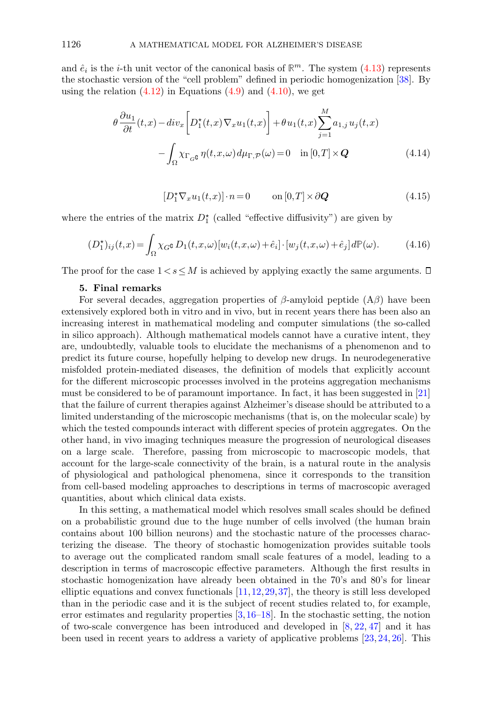and  $\hat{e}_i$  is the *i*-th unit vector of the canonical basis of  $\mathbb{R}^m$ . The system [\(4.13\)](#page-20-3) represents the stochastic version of the "cell problem" defined in periodic homogenization [\[38\]](#page-28-19). By using the relation  $(4.12)$  in Equations  $(4.9)$  and  $(4.10)$ , we get

$$
\theta \frac{\partial u_1}{\partial t}(t,x) - div_x \left[ D_1^*(t,x) \nabla_x u_1(t,x) \right] + \theta u_1(t,x) \sum_{j=1}^M a_{1,j} u_j(t,x)
$$

$$
- \int_{\Omega} \chi_{\Gamma_{G^c}} \eta(t,x,\omega) d\mu_{\Gamma,\mathcal{P}}(\omega) = 0 \quad \text{in } [0,T] \times Q \tag{4.14}
$$

$$
[D_1^{\star} \nabla_x u_1(t, x)] \cdot n = 0 \qquad \text{on } [0, T] \times \partial \mathbf{Q} \tag{4.15}
$$

where the entries of the matrix  $D_1^*$  (called "effective diffusivity") are given by

$$
(D_1^{\star})_{ij}(t,x) = \int_{\Omega} \chi_G \mathfrak{g} D_1(t,x,\omega) [w_i(t,x,\omega) + \hat{e}_i] \cdot [w_j(t,x,\omega) + \hat{e}_j] d\mathbb{P}(\omega). \tag{4.16}
$$

<span id="page-21-0"></span>The proof for the case  $1 < s \leq M$  is achieved by applying exactly the same arguments.  $\Box$ 

## 5. Final remarks

For several decades, aggregation properties of  $\beta$ -amyloid peptide  $(A\beta)$  have been extensively explored both in vitro and in vivo, but in recent years there has been also an increasing interest in mathematical modeling and computer simulations (the so-called in silico approach). Although mathematical models cannot have a curative intent, they are, undoubtedly, valuable tools to elucidate the mechanisms of a phenomenon and to predict its future course, hopefully helping to develop new drugs. In neurodegenerative misfolded protein-mediated diseases, the definition of models that explicitly account for the different microscopic processes involved in the proteins aggregation mechanisms must be considered to be of paramount importance. In fact, it has been suggested in [\[21\]](#page-28-20) that the failure of current therapies against Alzheimer's disease should be attributed to a limited understanding of the microscopic mechanisms (that is, on the molecular scale) by which the tested compounds interact with different species of protein aggregates. On the other hand, in vivo imaging techniques measure the progression of neurological diseases on a large scale. Therefore, passing from microscopic to macroscopic models, that account for the large-scale connectivity of the brain, is a natural route in the analysis of physiological and pathological phenomena, since it corresponds to the transition from cell-based modeling approaches to descriptions in terms of macroscopic averaged quantities, about which clinical data exists.

In this setting, a mathematical model which resolves small scales should be defined on a probabilistic ground due to the huge number of cells involved (the human brain contains about 100 billion neurons) and the stochastic nature of the processes characterizing the disease. The theory of stochastic homogenization provides suitable tools to average out the complicated random small scale features of a model, leading to a description in terms of macroscopic effective parameters. Although the first results in stochastic homogenization have already been obtained in the 70's and 80's for linear elliptic equations and convex functionals  $[11, 12, 29, 37]$  $[11, 12, 29, 37]$  $[11, 12, 29, 37]$  $[11, 12, 29, 37]$  $[11, 12, 29, 37]$  $[11, 12, 29, 37]$ , the theory is still less developed than in the periodic case and it is the subject of recent studies related to, for example, error estimates and regularity properties  $[3,16–18]$  $[3,16–18]$  $[3,16–18]$ . In the stochastic setting, the notion of two-scale convergence has been introduced and developed in  $[8, 22, 47]$  $[8, 22, 47]$  $[8, 22, 47]$  $[8, 22, 47]$  and it has been used in recent years to address a variety of applicative problems [\[23,](#page-28-13) [24,](#page-28-24) [26\]](#page-28-14). This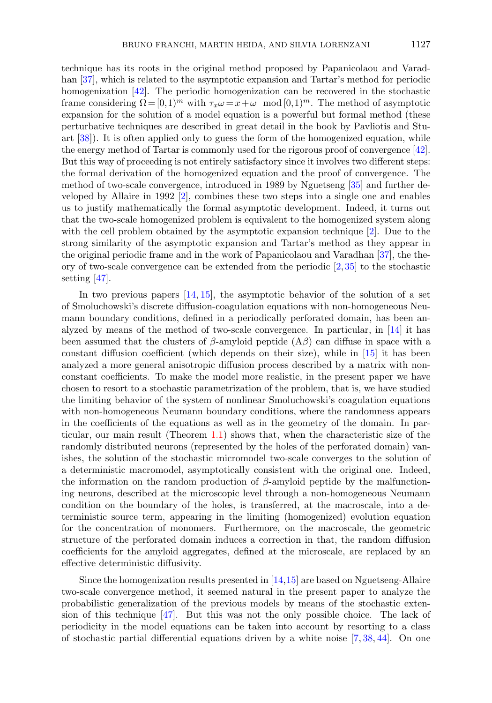technique has its roots in the original method proposed by Papanicolaou and Varadhan [\[37\]](#page-28-10), which is related to the asymptotic expansion and Tartar's method for periodic homogenization [\[42\]](#page-29-5). The periodic homogenization can be recovered in the stochastic frame considering  $\Omega = [0,1)^m$  with  $\tau_x \omega = x + \omega \mod [0,1)^m$ . The method of asymptotic expansion for the solution of a model equation is a powerful but formal method (these perturbative techniques are described in great detail in the book by Pavliotis and Stuart [\[38\]](#page-28-19)). It is often applied only to guess the form of the homogenized equation, while the energy method of Tartar is commonly used for the rigorous proof of convergence [\[42\]](#page-29-5). But this way of proceeding is not entirely satisfactory since it involves two different steps: the formal derivation of the homogenized equation and the proof of convergence. The method of two-scale convergence, introduced in 1989 by Nguetseng [\[35\]](#page-28-9) and further developed by Allaire in 1992  $|2|$ , combines these two steps into a single one and enables us to justify mathematically the formal asymptotic development. Indeed, it turns out that the two-scale homogenized problem is equivalent to the homogenized system along with the cell problem obtained by the asymptotic expansion technique [\[2\]](#page-27-5). Due to the strong similarity of the asymptotic expansion and Tartar's method as they appear in the original periodic frame and in the work of Papanicolaou and Varadhan [\[37\]](#page-28-10), the theory of two-scale convergence can be extended from the periodic  $[2,35]$  $[2,35]$  to the stochastic setting [\[47\]](#page-29-3).

In two previous papers [\[14,](#page-28-4) [15\]](#page-28-8), the asymptotic behavior of the solution of a set of Smoluchowski's discrete diffusion-coagulation equations with non-homogeneous Neumann boundary conditions, defined in a periodically perforated domain, has been analyzed by means of the method of two-scale convergence. In particular, in [\[14\]](#page-28-4) it has been assumed that the clusters of  $\beta$ -amyloid peptide  $(A\beta)$  can diffuse in space with a constant diffusion coefficient (which depends on their size), while in [\[15\]](#page-28-8) it has been analyzed a more general anisotropic diffusion process described by a matrix with nonconstant coefficients. To make the model more realistic, in the present paper we have chosen to resort to a stochastic parametrization of the problem, that is, we have studied the limiting behavior of the system of nonlinear Smoluchowski's coagulation equations with non-homogeneous Neumann boundary conditions, where the randomness appears in the coefficients of the equations as well as in the geometry of the domain. In particular, our main result (Theorem [1.1\)](#page-5-0) shows that, when the characteristic size of the randomly distributed neurons (represented by the holes of the perforated domain) vanishes, the solution of the stochastic micromodel two-scale converges to the solution of a deterministic macromodel, asymptotically consistent with the original one. Indeed, the information on the random production of  $\beta$ -amyloid peptide by the malfunctioning neurons, described at the microscopic level through a non-homogeneous Neumann condition on the boundary of the holes, is transferred, at the macroscale, into a deterministic source term, appearing in the limiting (homogenized) evolution equation for the concentration of monomers. Furthermore, on the macroscale, the geometric structure of the perforated domain induces a correction in that, the random diffusion coefficients for the amyloid aggregates, defined at the microscale, are replaced by an effective deterministic diffusivity.

Since the homogenization results presented in [\[14,](#page-28-4)[15\]](#page-28-8) are based on Nguetseng-Allaire two-scale convergence method, it seemed natural in the present paper to analyze the probabilistic generalization of the previous models by means of the stochastic extension of this technique [\[47\]](#page-29-3). But this was not the only possible choice. The lack of periodicity in the model equations can be taken into account by resorting to a class of stochastic partial differential equations driven by a white noise  $[7, 38, 44]$  $[7, 38, 44]$  $[7, 38, 44]$  $[7, 38, 44]$ . On one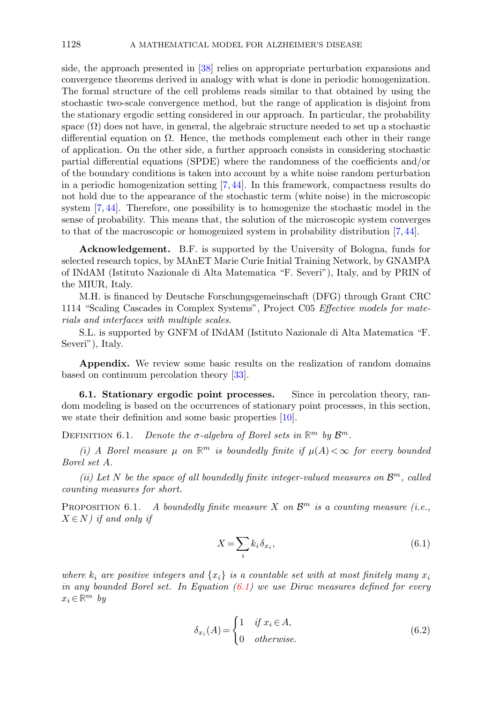side, the approach presented in [\[38\]](#page-28-19) relies on appropriate perturbation expansions and convergence theorems derived in analogy with what is done in periodic homogenization. The formal structure of the cell problems reads similar to that obtained by using the stochastic two-scale convergence method, but the range of application is disjoint from the stationary ergodic setting considered in our approach. In particular, the probability space  $(\Omega)$  does not have, in general, the algebraic structure needed to set up a stochastic differential equation on  $\Omega$ . Hence, the methods complement each other in their range of application. On the other side, a further approach consists in considering stochastic partial differential equations (SPDE) where the randomness of the coefficients and/or of the boundary conditions is taken into account by a white noise random perturbation in a periodic homogenization setting  $(7, 44)$ . In this framework, compactness results do not hold due to the appearance of the stochastic term (white noise) in the microscopic system  $[7, 44]$  $[7, 44]$ . Therefore, one possibility is to homogenize the stochastic model in the sense of probability. This means that, the solution of the microscopic system converges to that of the macroscopic or homogenized system in probability distribution [\[7,](#page-27-11) [44\]](#page-29-6).

Acknowledgement. B.F. is supported by the University of Bologna, funds for selected research topics, by MAnET Marie Curie Initial Training Network, by GNAMPA of INdAM (Istituto Nazionale di Alta Matematica "F. Severi"), Italy, and by PRIN of the MIUR, Italy.

M.H. is financed by Deutsche Forschungsgemeinschaft (DFG) through Grant CRC 1114 "Scaling Cascades in Complex Systems", Project C05 Effective models for materials and interfaces with multiple scales.

S.L. is supported by GNFM of INdAM (Istituto Nazionale di Alta Matematica "F. Severi"), Italy.

<span id="page-23-2"></span>Appendix. We review some basic results on the realization of random domains based on continuum percolation theory [\[33\]](#page-28-25).

<span id="page-23-1"></span>6.1. Stationary ergodic point processes. Since in percolation theory, random modeling is based on the occurrences of stationary point processes, in this section, we state their definition and some basic properties [\[10\]](#page-27-6).

DEFINITION 6.1. Denote the  $\sigma$ -algebra of Borel sets in  $\mathbb{R}^m$  by  $\mathcal{B}^m$ .

(i) A Borel measure  $\mu$  on  $\mathbb{R}^m$  is boundedly finite if  $\mu(A) < \infty$  for every bounded Borel set A.

(ii) Let N be the space of all boundedly finite integer-valued measures on  $\mathcal{B}^m$ , called counting measures for short.

PROPOSITION 6.1. A boundedly finite measure X on  $\mathcal{B}^m$  is a counting measure (i.e.,  $X \in N$ ) if and only if

<span id="page-23-0"></span>
$$
X = \sum_{i} k_i \delta_{x_i},\tag{6.1}
$$

where  $k_i$  are positive integers and  $\{x_i\}$  is a countable set with at most finitely many  $x_i$ in any bounded Borel set. In Equation  $(6.1)$  we use Dirac measures defined for every  $x_i \in \mathbb{R}^m$  by

$$
\delta_{x_i}(A) = \begin{cases} 1 & \text{if } x_i \in A, \\ 0 & \text{otherwise.} \end{cases}
$$
 (6.2)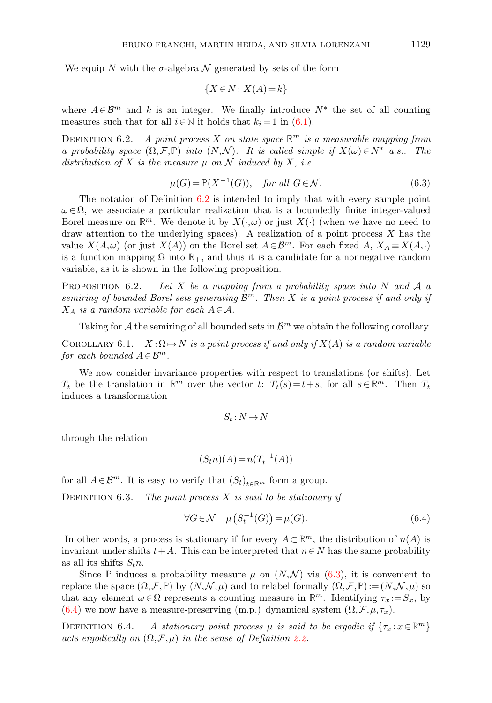We equip N with the  $\sigma$ -algebra N generated by sets of the form

<span id="page-24-1"></span>
$$
\{X \in N : X(A) = k\}
$$

where  $A \in \mathcal{B}^m$  and k is an integer. We finally introduce  $N^*$  the set of all counting measures such that for all  $i \in \mathbb{N}$  it holds that  $k_i = 1$  in [\(6.1\)](#page-23-0).

<span id="page-24-0"></span>DEFINITION 6.2. A point process X on state space  $\mathbb{R}^m$  is a measurable mapping from a probability space  $(\Omega, \mathcal{F}, \mathbb{P})$  into  $(N, \mathcal{N})$ . It is called simple if  $X(\omega) \in N^*$  a.s.. The distribution of X is the measure  $\mu$  on N induced by X, i.e.

$$
\mu(G) = \mathbb{P}(X^{-1}(G)), \quad \text{for all } G \in \mathcal{N}.
$$
\n(6.3)

The notation of Definition [6.2](#page-24-0) is intended to imply that with every sample point  $\omega \in \Omega$ , we associate a particular realization that is a boundedly finite integer-valued Borel measure on  $\mathbb{R}^m$ . We denote it by  $X(\cdot,\omega)$  or just  $X(\cdot)$  (when we have no need to draw attention to the underlying spaces). A realization of a point process  $X$  has the value  $X(A,\omega)$  (or just  $X(A)$ ) on the Borel set  $A \in \mathcal{B}^m$ . For each fixed  $A, X_A \equiv X(A,\cdot)$ is a function mapping  $\Omega$  into  $\mathbb{R}_+$ , and thus it is a candidate for a nonnegative random variable, as it is shown in the following proposition.

**PROPOSITION** 6.2. Let X be a mapping from a probability space into N and A a semiring of bounded Borel sets generating  $\mathcal{B}^m$ . Then X is a point process if and only if  $X_A$  is a random variable for each  $A \in \mathcal{A}$ .

Taking for A the semiring of all bounded sets in  $\mathcal{B}^m$  we obtain the following corollary.

COROLLARY 6.1.  $X: \Omega \mapsto N$  is a point process if and only if  $X(A)$  is a random variable for each bounded  $A \in \mathcal{B}^m$ .

We now consider invariance properties with respect to translations (or shifts). Let  $T_t$  be the translation in  $\mathbb{R}^m$  over the vector t:  $T_t(s) = t + s$ , for all  $s \in \mathbb{R}^m$ . Then  $T_t$ induces a transformation

<span id="page-24-2"></span>
$$
S_t\,{:}\,N\,{\to}\,N
$$

through the relation

$$
(S_t n)(A) = n(T_t^{-1}(A))
$$

for all  $A \in \mathcal{B}^m$ . It is easy to verify that  $(S_t)_{t \in \mathbb{R}^m}$  form a group.

DEFINITION 6.3. The point process  $X$  is said to be stationary if

$$
\forall G \in \mathcal{N} \quad \mu\left(S_t^{-1}(G)\right) = \mu(G). \tag{6.4}
$$

In other words, a process is stationary if for every  $A \subset \mathbb{R}^m$ , the distribution of  $n(A)$  is invariant under shifts  $t+A$ . This can be interpreted that  $n \in N$  has the same probability as all its shifts  $S_t$ *n*.

Since **P** induces a probability measure  $\mu$  on  $(N, \mathcal{N})$  via [\(6.3\)](#page-24-1), it is convenient to replace the space  $(\Omega, \mathcal{F}, \mathbb{P})$  by  $(N, \mathcal{N}, \mu)$  and to relabel formally  $(\Omega, \mathcal{F}, \mathbb{P}) := (N, \mathcal{N}, \mu)$  so that any element  $\omega \in \Omega$  represents a counting measure in  $\mathbb{R}^m$ . Identifying  $\tau_x := S_x$ , by [\(6.4\)](#page-24-2) we now have a measure-preserving (m.p.) dynamical system  $(\Omega, \mathcal{F}, \mu, \tau_x)$ .

DEFINITION 6.4. A stationary point process  $\mu$  is said to be ergodic if  $\{\tau_x : x \in \mathbb{R}^m\}$ acts ergodically on  $(\Omega, \mathcal{F}, \mu)$  in the sense of Definition [2.2.](#page-7-3)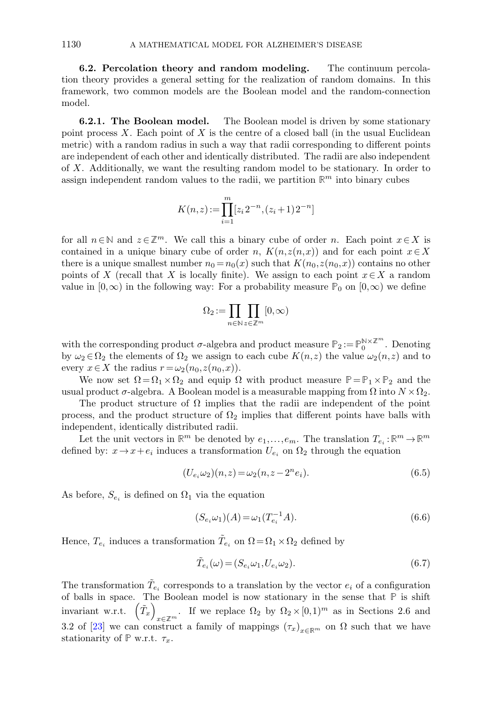6.2. Percolation theory and random modeling. The continuum percolation theory provides a general setting for the realization of random domains. In this framework, two common models are the Boolean model and the random-connection model.

**6.2.1. The Boolean model.** The Boolean model is driven by some stationary point process  $X$ . Each point of  $X$  is the centre of a closed ball (in the usual Euclidean metric) with a random radius in such a way that radii corresponding to different points are independent of each other and identically distributed. The radii are also independent of X. Additionally, we want the resulting random model to be stationary. In order to assign independent random values to the radii, we partition  $\mathbb{R}^m$  into binary cubes

$$
K(n,z) := \prod_{i=1}^{m} [z_i 2^{-n}, (z_i + 1) 2^{-n}]
$$

for all  $n \in \mathbb{N}$  and  $z \in \mathbb{Z}^m$ . We call this a binary cube of order n. Each point  $x \in X$  is contained in a unique binary cube of order n,  $K(n,z(n,x))$  and for each point  $x \in X$ there is a unique smallest number  $n_0 = n_0(x)$  such that  $K(n_0, z(n_0,x))$  contains no other points of X (recall that X is locally finite). We assign to each point  $x \in X$  a random value in  $(0, \infty)$  in the following way: For a probability measure  $\mathbb{P}_0$  on  $(0, \infty)$  we define

$$
\Omega_2\!:=\!\prod_{n\in\mathbb{N}}\prod_{z\in\mathbb{Z}^m}[0,\infty)
$$

with the corresponding product  $\sigma$ -algebra and product measure  $\mathbb{P}_2 := \mathbb{P}_0^{\mathbb{N} \times \mathbb{Z}^m}$ . Denoting by  $\omega_2 \in \Omega_2$  the elements of  $\Omega_2$  we assign to each cube  $K(n,z)$  the value  $\omega_2(n,z)$  and to every  $x \in X$  the radius  $r = \omega_2(n_0, z(n_0, x))$ .

We now set  $\Omega = \Omega_1 \times \Omega_2$  and equip  $\Omega$  with product measure  $\mathbb{P} = \mathbb{P}_1 \times \mathbb{P}_2$  and the usual product  $\sigma$ -algebra. A Boolean model is a measurable mapping from  $\Omega$  into  $N \times \Omega_2$ .

The product structure of  $\Omega$  implies that the radii are independent of the point process, and the product structure of  $\Omega_2$  implies that different points have balls with independent, identically distributed radii.

Let the unit vectors in  $\mathbb{R}^m$  be denoted by  $e_1, \ldots, e_m$ . The translation  $T_{e_i} : \mathbb{R}^m \to \mathbb{R}^m$ defined by:  $x \to x + e_i$  induces a transformation  $U_{e_i}$  on  $\Omega_2$  through the equation

$$
(U_{e_i}\omega_2)(n,z) = \omega_2(n,z-2^n e_i). \tag{6.5}
$$

As before,  $S_{e_i}$  is defined on  $\Omega_1$  via the equation

$$
(S_{e_i}\omega_1)(A) = \omega_1(T_{e_i}^{-1}A). \tag{6.6}
$$

Hence,  $T_{e_i}$  induces a transformation  $\tilde{T}_{e_i}$  on  $\Omega = \Omega_1 \times \Omega_2$  defined by

<span id="page-25-0"></span>
$$
\tilde{T}_{e_i}(\omega) = (S_{e_i}\omega_1, U_{e_i}\omega_2). \tag{6.7}
$$

The transformation  $\tilde{T}_{e_i}$  corresponds to a translation by the vector  $e_i$  of a configuration of balls in space. The Boolean model is now stationary in the sense that **P** is shift invariant w.r.t.  $(\tilde{T}_x)$  $x \in \mathbb{Z}^m$ . If we replace  $\Omega_2$  by  $\Omega_2 \times [0,1)^m$  as in Sections 2.6 and 3.2 of [\[23\]](#page-28-13) we can construct a family of mappings  $(\tau_x)_{x\in\mathbb{R}^m}$  on  $\Omega$  such that we have stationarity of  $\mathbb P$  w.r.t.  $\tau_x$ .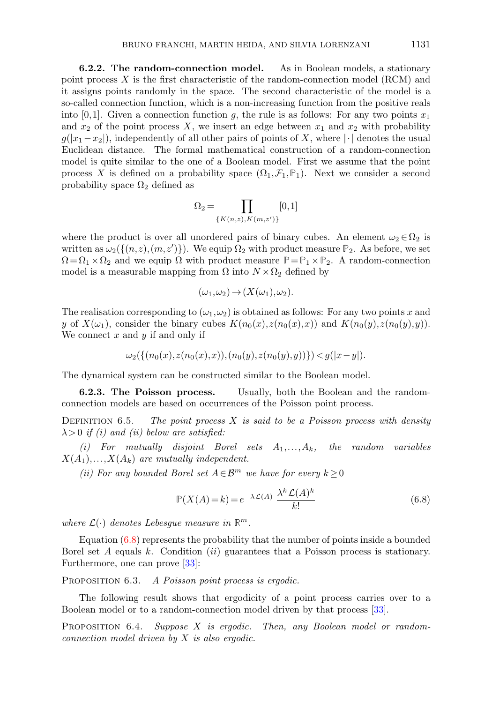6.2.2. The random-connection model. As in Boolean models, a stationary point process  $X$  is the first characteristic of the random-connection model (RCM) and it assigns points randomly in the space. The second characteristic of the model is a so-called connection function, which is a non-increasing function from the positive reals into [0,1]. Given a connection function g, the rule is as follows: For any two points  $x_1$ and  $x_2$  of the point process X, we insert an edge between  $x_1$  and  $x_2$  with probability  $g(|x_1-x_2|)$ , independently of all other pairs of points of X, where  $|\cdot|$  denotes the usual Euclidean distance. The formal mathematical construction of a random-connection model is quite similar to the one of a Boolean model. First we assume that the point process X is defined on a probability space  $(\Omega_1, \mathcal{F}_1, \mathbb{P}_1)$ . Next we consider a second probability space  $\Omega_2$  defined as

$$
\Omega_2 = \prod_{\{K(n,z), K(m,z')\}} [0,1]
$$

where the product is over all unordered pairs of binary cubes. An element  $\omega_2 \in \Omega_2$  is written as  $\omega_2(\{(n,z),(m,z')\})$ . We equip  $\Omega_2$  with product measure  $\mathbb{P}_2$ . As before, we set  $\Omega = \Omega_1 \times \Omega_2$  and we equip  $\Omega$  with product measure  $\mathbb{P} = \mathbb{P}_1 \times \mathbb{P}_2$ . A random-connection model is a measurable mapping from  $\Omega$  into  $N \times \Omega_2$  defined by

$$
(\omega_1, \omega_2) \to (X(\omega_1), \omega_2).
$$

The realisation corresponding to  $(\omega_1, \omega_2)$  is obtained as follows: For any two points x and y of  $X(\omega_1)$ , consider the binary cubes  $K(n_0(x),z(n_0(x),x))$  and  $K(n_0(y),z(n_0(y),y))$ . We connect  $x$  and  $y$  if and only if

$$
\omega_2(\{(n_0(x),z(n_0(x),x)),(n_0(y),z(n_0(y),y))\}) < g(|x-y|).
$$

The dynamical system can be constructed similar to the Boolean model.

6.2.3. The Poisson process. Usually, both the Boolean and the randomconnection models are based on occurrences of the Poisson point process.

DEFINITION 6.5. The point process  $X$  is said to be a Poisson process with density  $\lambda > 0$  if (i) and (ii) below are satisfied:

(i) For mutually disjoint Borel sets  $A_1, \ldots, A_k$ , the random variables  $X(A_1),...,X(A_k)$  are mutually independent.

(ii) For any bounded Borel set  $A \in \mathcal{B}^m$  we have for every  $k \geq 0$ 

<span id="page-26-0"></span>
$$
\mathbb{P}(X(A) = k) = e^{-\lambda \mathcal{L}(A)} \frac{\lambda^k \mathcal{L}(A)^k}{k!}
$$
\n(6.8)

where  $\mathcal{L}(\cdot)$  denotes Lebesgue measure in  $\mathbb{R}^m$ .

Equation [\(6.8\)](#page-26-0) represents the probability that the number of points inside a bounded Borel set A equals k. Condition (ii) guarantees that a Poisson process is stationary. Furthermore, one can prove [\[33\]](#page-28-25):

<span id="page-26-1"></span>PROPOSITION 6.3. A Poisson point process is ergodic.

The following result shows that ergodicity of a point process carries over to a Boolean model or to a random-connection model driven by that process [\[33\]](#page-28-25).

PROPOSITION 6.4. Suppose X is ergodic. Then, any Boolean model or randomconnection model driven by X is also ergodic.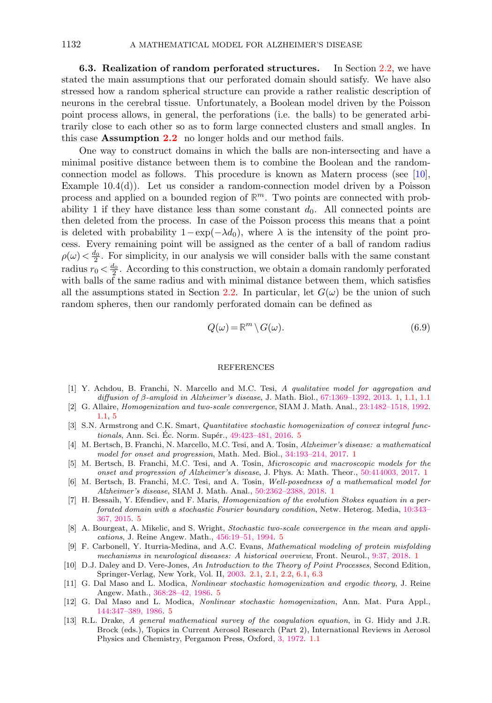<span id="page-27-12"></span>6.3. Realization of random perforated structures. In Section [2.2,](#page-11-0) we have stated the main assumptions that our perforated domain should satisfy. We have also stressed how a random spherical structure can provide a rather realistic description of neurons in the cerebral tissue. Unfortunately, a Boolean model driven by the Poisson point process allows, in general, the perforations (i.e. the balls) to be generated arbitrarily close to each other so as to form large connected clusters and small angles. In this case **Assumption [2.2](#page-12-1)** no longer holds and our method fails.

One way to construct domains in which the balls are non-intersecting and have a minimal positive distance between them is to combine the Boolean and the randomconnection model as follows. This procedure is known as Matern process (see [\[10\]](#page-27-6), Example  $10.4(d)$ ). Let us consider a random-connection model driven by a Poisson process and applied on a bounded region of **R** <sup>m</sup>. Two points are connected with probability 1 if they have distance less than some constant  $d_0$ . All connected points are then deleted from the process. In case of the Poisson process this means that a point is deleted with probability  $1-\exp(-\lambda d_0)$ , where  $\lambda$  is the intensity of the point process. Every remaining point will be assigned as the center of a ball of random radius  $\rho(\omega) < \frac{d_0}{2}$ . For simplicity, in our analysis we will consider balls with the same constant radius  $r_0 < \frac{d_0}{2}$ . According to this construction, we obtain a domain randomly perforated with balls of the same radius and with minimal distance between them, which satisfies all the assumptions stated in Section [2.2.](#page-11-0) In particular, let  $G(\omega)$  be the union of such random spheres, then our randomly perforated domain can be defined as

$$
Q(\omega) = \mathbb{R}^m \setminus G(\omega). \tag{6.9}
$$

#### REFERENCES

- <span id="page-27-1"></span>[1] Y. Achdou, B. Franchi, N. Marcello and M.C. Tesi, A qualitative model for aggregation and diffusion of  $\beta$ -amyloid in Alzheimer's disease, J. Math. Biol., [67:1369–1392, 2013.](https://link.springer.com/article/10.1007/s00285-012-0591-0) [1,](#page-0-0) [1.1,](#page-1-3) [1.1](#page-1-1)
- <span id="page-27-5"></span>[2] G. Allaire, Homogenization and two-scale convergence, SIAM J. Math. Anal., [23:1482–1518, 1992.](https://doi.org/10.1137/0523084) [1.1,](#page-1-1) [5](#page-21-0)
- <span id="page-27-9"></span>[3] S.N. Armstrong and C.K. Smart, *Quantitative stochastic homogenization of convex integral func-*tionals, Ann. Sci. Ec. Norm. Supér., 49:423-481, 2016. [5](#page-21-0)
- <span id="page-27-2"></span>[4] M. Bertsch, B. Franchi, N. Marcello, M.C. Tesi, and A. Tosin, Alzheimer's disease: a mathematical model for onset and progression, Math. Med. Biol., [34:193–214, 2017.](https://doi.org/10.1093/imammb/dqw003) [1](#page-0-0)
- [5] M. Bertsch, B. Franchi, M.C. Tesi, and A. Tosin, Microscopic and macroscopic models for the onset and progression of Alzheimer's disease, J. Phys. A: Math. Theor., [50:414003, 2017.](https://iopscience.iop.org/article/10.1088/1751-8121/aa83bd) [1](#page-0-0)
- <span id="page-27-3"></span>[6] M. Bertsch, B. Franchi, M.C. Tesi, and A. Tosin, Well-posedness of a mathematical model for Alzheimer's disease, SIAM J. Math. Anal., [50:2362–2388, 2018.](https://doi.org/10.1137/17M1148517) [1](#page-0-0)
- <span id="page-27-11"></span>[7] H. Bessaih, Y. Efendiev, and F. Maris, *Homogenization of the evolution Stokes equation in a per*forated domain with a stochastic Fourier boundary condition, Netw. Heterog. Media, [10:343–](https://ui.adsabs.harvard.edu/abs/2014arXiv1402.6374B/abstract) [367, 2015.](https://ui.adsabs.harvard.edu/abs/2014arXiv1402.6374B/abstract) [5](#page-21-0)
- <span id="page-27-10"></span>[8] A. Bourgeat, A. Mikelic, and S. Wright, Stochastic two-scale convergence in the mean and applications, J. Reine Angew. Math., [456:19–51, 1994.](https://doi.org/10.1515/crll.1994.456.19) [5](#page-21-0)
- <span id="page-27-0"></span>[9] F. Carbonell, Y. Iturria-Medina, and A.C. Evans, Mathematical modeling of protein misfolding mechanisms in neurological diseases: A historical overview, Front. Neurol., [9:37, 2018.](https://doi.org/10.3389/fneur.2018.00037) [1](#page-0-0)
- <span id="page-27-6"></span>[10] D.J. Daley and D. Vere-Jones, An Introduction to the Theory of Point Processes, Second Edition, Springer-Verlag, New York, Vol. II, [2003.](https://link.springer.com/book/10.1007/978-1-4757-2001-3) [2.1,](#page-9-0) [2.1,](#page-9-1) [2.2,](#page-11-2) [6.1,](#page-23-1) [6.3](#page-27-12)
- <span id="page-27-7"></span>[11] G. Dal Maso and L. Modica, Nonlinear stochastic homogenization and ergodic theory, J. Reine Angew. Math., [368:28–42, 1986.](https://doi.org/10.1515/crll.1986.368.28) [5](#page-21-0)
- <span id="page-27-8"></span>[12] G. Dal Maso and L. Modica, Nonlinear stochastic homogenization, Ann. Mat. Pura Appl., [144:347–389, 1986.](https://link.springer.com/article/10.1007%2FBF01760826) [5](#page-21-0)
- <span id="page-27-4"></span>[13] R.L. Drake, A general mathematical survey of the coagulation equation, in G. Hidy and J.R. Brock (eds.), Topics in Current Aerosol Research (Part 2), International Reviews in Aerosol Physics and Chemistry, Pergamon Press, Oxford, [3, 1972.](https://www.researchgate.net/publication/239066015_A_general_mathematical_survey_of_the_coagulation_equation) [1.1](#page-1-3)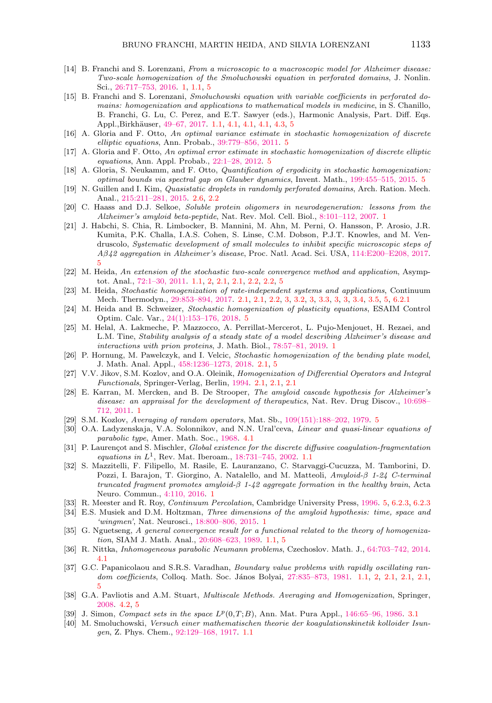- <span id="page-28-4"></span>[14] B. Franchi and S. Lorenzani, From a microscopic to a macroscopic model for Alzheimer disease: Two-scale homogenization of the Smoluchowski equation in perforated domains, J. Nonlin. Sci., [26:717–753, 2016.](https://link.springer.com/article/10.1007%2Fs00332-016-9288-7) [1,](#page-0-0) [1.1,](#page-1-1) [5](#page-21-0)
- <span id="page-28-8"></span>[15] B. Franchi and S. Lorenzani, Smoluchowski equation with variable coefficients in perforated domains: homogenization and applications to mathematical models in medicine, in S. Chanillo, B. Franchi, G. Lu, C. Perez, and E.T. Sawyer (eds.), Harmonic Analysis, Part. Diff. Eqs. Appl.,Birkhäuser, [49–67, 2017.](https://link.springer.com/chapter/10.1007%2F978-3-319-52742-0_4) [1.1,](#page-1-1) [4.1,](#page-19-2) 4.1, 4.1, [4.3,](#page-19-1) [5](#page-21-0)
- <span id="page-28-22"></span>[16] A. Gloria and F. Otto, An optimal variance estimate in stochastic homogenization of discrete elliptic equations, Ann. Probab., [39:779–856, 2011.](https://projecteuclid.org/euclid.aop/1300281725) [5](#page-21-0)
- [17] A. Gloria and F. Otto, An optimal error estimate in stochastic homogenization of discrete elliptic equations, Ann. Appl. Probab., [22:1–28, 2012.](https://projecteuclid.org/euclid.aoap/1328623694) [5](#page-21-0)
- <span id="page-28-23"></span>[18] A. Gloria, S. Neukamm, and F. Otto, *Quantification of ergodicity in stochastic homogenization*: optimal bounds via spectral gap on Glauber dynamics, Invent. Math., [199:455–515, 2015.](https://link.springer.com/article/10.1007%2Fs00222-014-0518-z) [5](#page-21-0)
- <span id="page-28-15"></span>[19] N. Guillen and I. Kim, Quasistatic droplets in randomly perforated domains, Arch. Ration. Mech. Anal., [215:211–281, 2015.](https://link.springer.com/article/10.1007%2Fs00205-014-0777-2) [2.6,](#page-12-0) [2.2](#page-13-4)
- <span id="page-28-1"></span>[20] C. Haass and D.J. Selkoe, Soluble protein oligomers in neurodegeneration: lessons from the Alzheimer's amyloid beta-peptide, Nat. Rev. Mol. Cell. Biol., [8:101–112, 2007.](https://www.nature.com/articles/nrm2101) [1](#page-0-0)
- <span id="page-28-20"></span>[21] J. Habchi, S. Chia, R. Limbocker, B. Mannini, M. Ahn, M. Perni, O. Hansson, P. Arosio, J.R. Kumita, P.K. Challa, I.A.S. Cohen, S. Linse, C.M. Dobson, P.J.T. Knowles, and M. Vendruscolo, Systematic development of small molecules to inhibit specific microscopic steps of Aβ42 aggregation in Alzheimer's disease, Proc. Natl. Acad. Sci. USA, [114:E200–E208, 2017.](https://doi.org/10.1073/pnas.1615613114) [5](#page-21-0)
- <span id="page-28-11"></span>[22] M. Heida, An extension of the stochastic two-scale convergence method and application, Asymptot. Anal., [72:1–30, 2011.](https://content.iospress.com/articles/asymptotic-analysis/asy1022) [1.1,](#page-1-1) [2,](#page-6-0) [2.1,](#page-7-1) [2.1,](#page-9-0) [2.2,](#page-11-0) [2.2,](#page-11-2) [5](#page-21-0)
- <span id="page-28-13"></span>[23] M. Heida, Stochastic homogenization of rate-independent systems and applications, Continuum Mech. Thermodyn., [29:853–894, 2017.](https://www.onacademic.com/detail/journal_1000039865348810_10a2.html) [2.1,](#page-7-1) [2.1,](#page-10-4) [2.2,](#page-10-1) [3,](#page-15-0) [3.2,](#page-15-5) [3,](#page-15-4) [3.3,](#page-16-1) [3,](#page-16-1) [3,](#page-16-2) [3.4,](#page-16-3) [3.5,](#page-16-4) [5,](#page-21-0) [6.2.1](#page-25-0)
- <span id="page-28-24"></span>[24] M. Heida and B. Schweizer, Stochastic homogenization of plasticity equations, ESAIM Control Optim. Calc. Var., [24\(1\):153–176, 2018.](https://www.esaim-cocv.org/articles/cocv/pdf/2018/01/cocv160057.pdf) [5](#page-21-0)
- <span id="page-28-5"></span>[25] M. Helal, A. Lakmeche, P. Mazzocco, A. Perrillat-Mercerot, L. Pujo-Menjouet, H. Rezaei, and L.M. Tine, Stability analysis of a steady state of a model describing Alzheimer's disease and interactions with prion proteins, J. Math. Biol., [78:57–81, 2019.](https://link.springer.com/article/10.1007/s00285-018-1267-1) [1](#page-0-0)
- <span id="page-28-14"></span>[26] P. Hornung, M. Pawelczyk, and I. Velcic, Stochastic homogenization of the bending plate model, J. Math. Anal. Appl., [458:1236–1273, 2018.](https://doi.org/10.1016/j.jmaa.2017.10.026) [2.1,](#page-8-0) [5](#page-21-0)
- <span id="page-28-12"></span>[27] V.V. Jikov, S.M. Kozlov, and O.A. Oleinik, Homogenization of Differential Operators and Integral Functionals, Springer-Verlag, Berlin, [1994.](https://link.springer.com/book/10.1007/978-3-642-84659-5) [2.1,](#page-7-1) [2.1,](#page-7-0) [2.1](#page-9-3)
- <span id="page-28-2"></span>[28] E. Karran, M. Mercken, and B. De Strooper, The amyloid cascade hypothesis for Alzheimer's disease: an appraisal for the development of therapeutics, Nat. Rev. Drug Discov., [10:698–](https://www.nature.com/articles/nrd3505) [712, 2011.](https://www.nature.com/articles/nrd3505) [1](#page-0-0)
- <span id="page-28-21"></span>[29] S.M. Kozlov, Averaging of random operators, Mat. Sb., [109\(151\):188–202, 1979.](http://dx.doi.org/10.1070/SM1980v037n02ABEH001948) [5](#page-21-0)
- <span id="page-28-17"></span>[30] O.A. Ladyzenskaja, V.A. Solonnikov, and N.N. Ural'ceva, *Linear and quasi-linear equations of* parabolic type, Amer. Math. Soc., [1968.](https://www.researchgate.net/publication/210215950_Linear_and_Quasi-Linear_Equations_of_Parabolic_Type) [4.1](#page-19-2)
- <span id="page-28-7"></span>[31] P. Laurençot and S. Mischler, Global existence for the discrete diffusive coagulation-fragmentation equations in  $L^1$ , Rev. Mat. Iberoam., 18:731-745, 2002. [1.1](#page-1-3)
- <span id="page-28-0"></span>[32] S. Mazzitelli, F. Filipello, M. Rasile, E. Lauranzano, C. Starvaggi-Cucuzza, M. Tamborini, D. Pozzi, I. Barajon, T. Giorgino, A. Natalello, and M. Matteoli, Amyloid-β 1-24 C-terminal truncated fragment promotes amyloid- $\beta$  1-42 aggregate formation in the healthy brain, Acta Neuro. Commun., [4:110, 2016.](https://actaneurocomms.biomedcentral.com/articles/10.1186/s40478-016-0381-9) [1](#page-0-0)
- <span id="page-28-25"></span>[33] R. Meester and R. Roy, Continuum Percolation, Cambridge University Press, [1996.](https://doi.org/10.1017/CBO9780511895357) [5,](#page-23-2) [6.2.3,](#page-26-0) [6.2.3](#page-26-1)
- <span id="page-28-3"></span>[34] E.S. Musiek and D.M. Holtzman, Three dimensions of the amyloid hypothesis: time, space and 'wingmen', Nat. Neurosci., [18:800–806, 2015.](https://www.nature.com/articles/nn.4018) [1](#page-0-0)
- <span id="page-28-9"></span>[35] G. Nguetseng, A general convergence result for a functional related to the theory of homogenization, SIAM J. Math. Anal., [20:608–623, 1989.](https://doi.org/10.1137/0520043) [1.1,](#page-1-1) [5](#page-21-0)
- <span id="page-28-18"></span>[36] R. Nittka, Inhomogeneous parabolic Neumann problems, Czechoslov. Math. J., [64:703–742, 2014.](https://link.springer.com/article/10.1007%2Fs10587-014-0127-4) [4.1](#page-19-2)
- <span id="page-28-10"></span>[37] G.C. Papanicolaou and S.R.S. Varadhan, Boundary value problems with rapidly oscillating ran-dom coefficients, Colloq. Math. Soc. János Bolyai, 27:835-873, 1981. [1.1,](#page-1-1) [2,](#page-6-0) [2.1,](#page-8-0) 2.1, 2.1, [5](#page-21-0)
- <span id="page-28-19"></span>[38] G.A. Pavliotis and A.M. Stuart, *Multiscale Methods. Averaging and Homogenization*, Springer, [2008.](https://www.researchgate.net/publication/259149629_Averaging_and_Homogenization) [4.2,](#page-20-3) [5](#page-21-0)
- <span id="page-28-16"></span>[39] J. Simon, Compact sets in the space  $L^p(0,T;B)$ , Ann. Mat. Pura Appl., [146:65–96, 1986.](https://mathscinet.ams.org/mathscinet-getitem?mr=916688) [3.1](#page-17-1)
- <span id="page-28-6"></span>[40] M. Smoluchowski, Versuch einer mathematischen theorie der koagulationskinetik kolloider Isungen, Z. Phys. Chem., [92:129–168, 1917.](https://doi.org/10.1515/zpch-1918-9209) [1.1](#page-1-3)